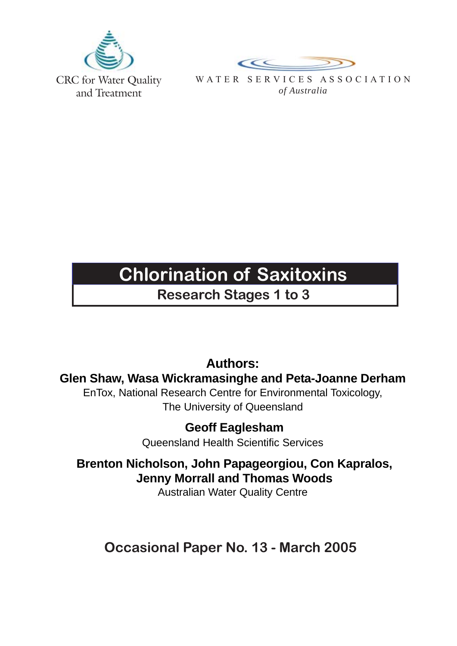



WATER SERVICES ASSOCIATION *of Australia*

# **Chlorination of Saxitoxins**

**Research Stages 1 to 3**

## **Authors:**

**Glen Shaw, Wasa Wickramasinghe and Peta-Joanne Derham**

EnTox, National Research Centre for Environmental Toxicology, The University of Queensland

> **Geoff Eaglesham** Queensland Health Scientific Services

 **Brenton Nicholson, John Papageorgiou, Con Kapralos, Jenny Morrall and Thomas Woods**

Australian Water Quality Centre

**Occasional Paper No. 13 - March 2005**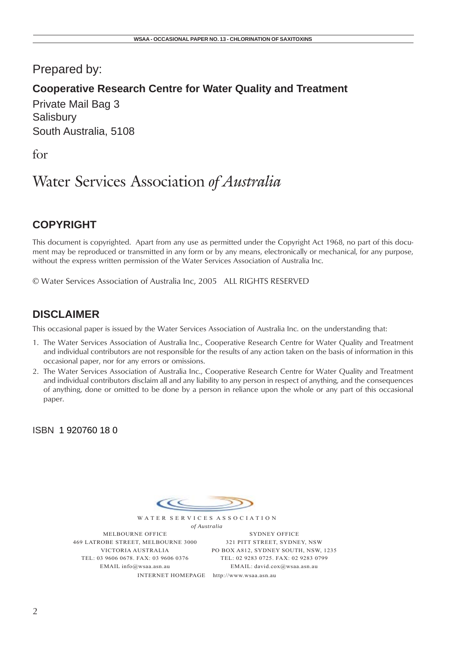## Prepared by:

## **Cooperative Research Centre for Water Quality and Treatment**

Private Mail Bag 3 **Salisbury** South Australia, 5108

for

## Water Services Association *of Australia*

## **COPYRIGHT**

This document is copyrighted. Apart from any use as permitted under the Copyright Act 1968, no part of this document may be reproduced or transmitted in any form or by any means, electronically or mechanical, for any purpose, without the express written permission of the Water Services Association of Australia Inc.

© Water Services Association of Australia Inc, 2005 ALL RIGHTS RESERVED

## **DISCLAIMER**

This occasional paper is issued by the Water Services Association of Australia Inc. on the understanding that:

- 1. The Water Services Association of Australia Inc., Cooperative Research Centre for Water Quality and Treatment and individual contributors are not responsible for the results of any action taken on the basis of information in this occasional paper, nor for any errors or omissions.
- 2. The Water Services Association of Australia Inc., Cooperative Research Centre for Water Quality and Treatment and individual contributors disclaim all and any liability to any person in respect of anything, and the consequences of anything, done or omitted to be done by a person in reliance upon the whole or any part of this occasional paper.

ISBN 1 920760 18 0



WATER SERVICES ASSOCIATION *of Australia*

INTERNET HOMEPAGE http://www.wsaa.asn.au MELBOURNE OFFICE 469 LATROBE STREET, MELBOURNE 3000 VICTORIA AUSTRALIA TEL: 03 9606 0678. FAX: 03 9606 0376 EMAIL info@wsaa.asn.au

SYDNEY OFFICE 321 PITT STREET, SYDNEY, NSW PO BOX A812, SYDNEY SOUTH, NSW, 1235 TEL: 02 9283 0725. FAX: 02 9283 0799 EMAIL: david.cox@wsaa.asn.au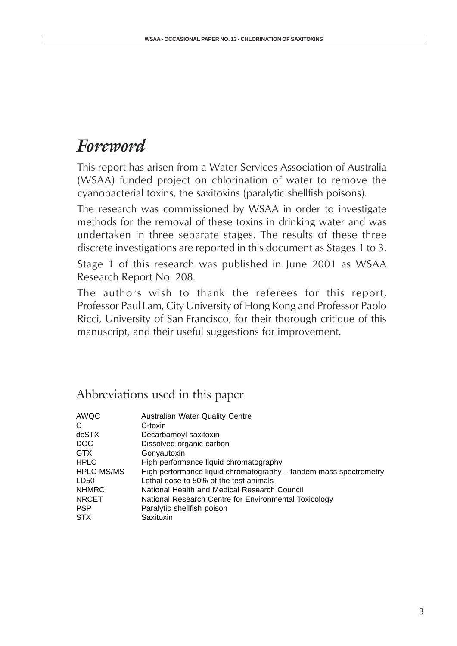# *Foreword*

This report has arisen from a Water Services Association of Australia (WSAA) funded project on chlorination of water to remove the cyanobacterial toxins, the saxitoxins (paralytic shellfish poisons).

The research was commissioned by WSAA in order to investigate methods for the removal of these toxins in drinking water and was undertaken in three separate stages. The results of these three discrete investigations are reported in this document as Stages 1 to 3.

Stage 1 of this research was published in June 2001 as WSAA Research Report No. 208.

The authors wish to thank the referees for this report, Professor Paul Lam, City University of Hong Kong and Professor Paolo Ricci, University of San Francisco, for their thorough critique of this manuscript, and their useful suggestions for improvement.

## Abbreviations used in this paper

| AWQC         | <b>Australian Water Quality Centre</b>                            |
|--------------|-------------------------------------------------------------------|
| С            | C-toxin                                                           |
| dcSTX        | Decarbamoyl saxitoxin                                             |
| DOC.         | Dissolved organic carbon                                          |
| <b>GTX</b>   | Gonyautoxin                                                       |
| <b>HPLC</b>  | High performance liquid chromatography                            |
| HPLC-MS/MS   | High performance liquid chromatography – tandem mass spectrometry |
| LD50         | Lethal dose to 50% of the test animals                            |
| <b>NHMRC</b> | National Health and Medical Research Council                      |
| <b>NRCET</b> | National Research Centre for Environmental Toxicology             |
| <b>PSP</b>   | Paralytic shellfish poison                                        |
| <b>STX</b>   | Saxitoxin                                                         |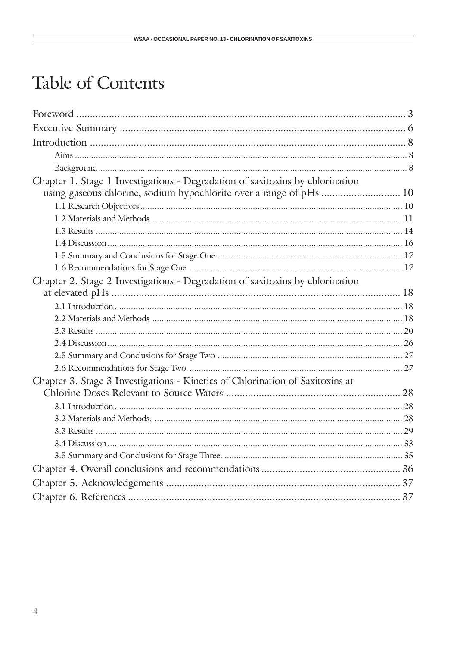# Table of Contents

| Chapter 1. Stage 1 Investigations - Degradation of saxitoxins by chlorination |  |
|-------------------------------------------------------------------------------|--|
| using gaseous chlorine, sodium hypochlorite over a range of pHs  10           |  |
|                                                                               |  |
|                                                                               |  |
|                                                                               |  |
|                                                                               |  |
|                                                                               |  |
|                                                                               |  |
| Chapter 2. Stage 2 Investigations - Degradation of saxitoxins by chlorination |  |
|                                                                               |  |
|                                                                               |  |
|                                                                               |  |
|                                                                               |  |
|                                                                               |  |
|                                                                               |  |
|                                                                               |  |
| Chapter 3. Stage 3 Investigations - Kinetics of Chlorination of Saxitoxins at |  |
|                                                                               |  |
|                                                                               |  |
|                                                                               |  |
|                                                                               |  |
|                                                                               |  |
|                                                                               |  |
|                                                                               |  |
|                                                                               |  |
|                                                                               |  |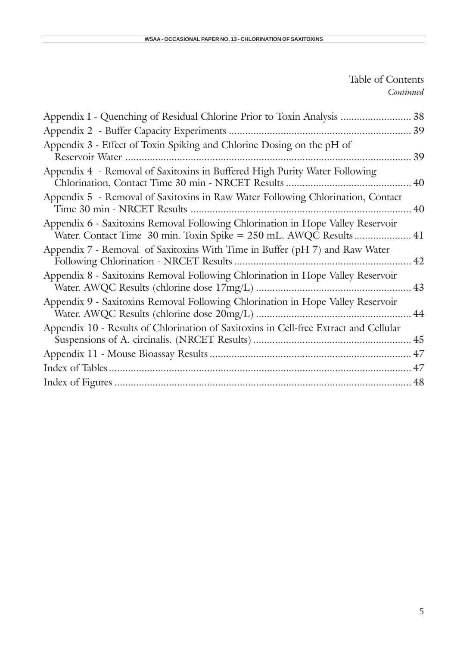Table of Contents *Continued*

| Appendix I - Quenching of Residual Chlorine Prior to Toxin Analysis  38                                                                              |    |
|------------------------------------------------------------------------------------------------------------------------------------------------------|----|
| Appendix 2 - Buffer Capacity Experiments                                                                                                             |    |
| Appendix 3 - Effect of Toxin Spiking and Chlorine Dosing on the pH of<br>Reservoir Water                                                             | 39 |
| Appendix 4 - Removal of Saxitoxins in Buffered High Purity Water Following<br>Chlorination, Contact Time 30 min - NRCET Results<br>. 40              |    |
| Appendix 5 - Removal of Saxitoxins in Raw Water Following Chlorination, Contact<br>Time 30 min - NRCET Results                                       | 40 |
| Appendix 6 - Saxitoxins Removal Following Chlorination in Hope Valley Reservoir<br>Water. Contact Time 30 min. Toxin Spike = 250 mL. AWQC Results 41 |    |
| Appendix 7 - Removal of Saxitoxins With Time in Buffer (pH 7) and Raw Water                                                                          |    |
| Appendix 8 - Saxitoxins Removal Following Chlorination in Hope Valley Reservoir                                                                      |    |
| Appendix 9 - Saxitoxins Removal Following Chlorination in Hope Valley Reservoir                                                                      | 44 |
| Appendix 10 - Results of Chlorination of Saxitoxins in Cell-free Extract and Cellular                                                                |    |
|                                                                                                                                                      |    |
|                                                                                                                                                      |    |
|                                                                                                                                                      |    |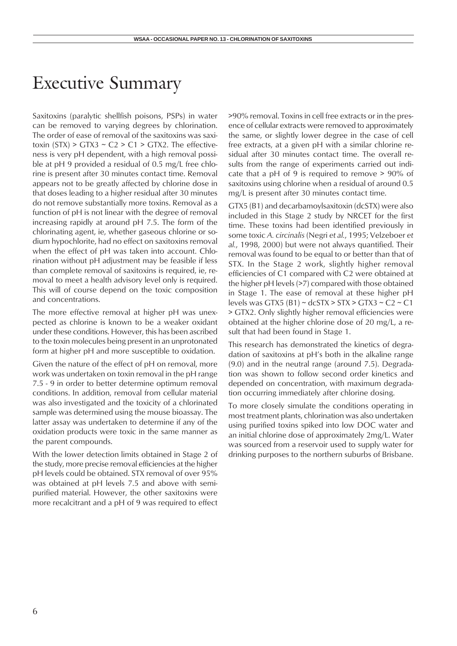## Executive Summary

Saxitoxins (paralytic shellfish poisons, PSPs) in water can be removed to varying degrees by chlorination. The order of ease of removal of the saxitoxins was saxitoxin  $(STX) > GTX3 \sim C2 > C1 > GTX2$ . The effectiveness is very pH dependent, with a high removal possible at pH 9 provided a residual of 0.5 mg/L free chlorine is present after 30 minutes contact time. Removal appears not to be greatly affected by chlorine dose in that doses leading to a higher residual after 30 minutes do not remove substantially more toxins. Removal as a function of pH is not linear with the degree of removal increasing rapidly at around pH 7.5. The form of the chlorinating agent, ie, whether gaseous chlorine or sodium hypochlorite, had no effect on saxitoxins removal when the effect of pH was taken into account. Chlorination without pH adjustment may be feasible if less than complete removal of saxitoxins is required, ie, removal to meet a health advisory level only is required. This will of course depend on the toxic composition and concentrations.

The more effective removal at higher pH was unexpected as chlorine is known to be a weaker oxidant under these conditions. However, this has been ascribed to the toxin molecules being present in an unprotonated form at higher pH and more susceptible to oxidation.

Given the nature of the effect of pH on removal, more work was undertaken on toxin removal in the pH range 7.5 - 9 in order to better determine optimum removal conditions. In addition, removal from cellular material was also investigated and the toxicity of a chlorinated sample was determined using the mouse bioassay. The latter assay was undertaken to determine if any of the oxidation products were toxic in the same manner as the parent compounds.

With the lower detection limits obtained in Stage 2 of the study, more precise removal efficiencies at the higher pH levels could be obtained. STX removal of over 95% was obtained at pH levels 7.5 and above with semipurified material. However, the other saxitoxins were more recalcitrant and a pH of 9 was required to effect >90% removal. Toxins in cell free extracts or in the presence of cellular extracts were removed to approximately the same, or slightly lower degree in the case of cell free extracts, at a given pH with a similar chlorine residual after 30 minutes contact time. The overall results from the range of experiments carried out indicate that a pH of 9 is required to remove > 90% of saxitoxins using chlorine when a residual of around 0.5 mg/L is present after 30 minutes contact time.

GTX5 (B1) and decarbamoylsaxitoxin (dcSTX) were also included in this Stage 2 study by NRCET for the first time. These toxins had been identified previously in some toxic *A. circinalis* (Negri *et al.*, 1995; Velzeboer *et al.*, 1998, 2000) but were not always quantified. Their removal was found to be equal to or better than that of STX. In the Stage 2 work, slightly higher removal efficiencies of C1 compared with C2 were obtained at the higher pH levels (>7) compared with those obtained in Stage 1. The ease of removal at these higher pH levels was GTX5 (B1)  $\sim$  dcSTX > STX > GTX3  $\sim$  C2  $\sim$  C1 > GTX2. Only slightly higher removal efficiencies were obtained at the higher chlorine dose of 20 mg/L, a result that had been found in Stage 1.

This research has demonstrated the kinetics of degradation of saxitoxins at pH's both in the alkaline range (9.0) and in the neutral range (around 7.5). Degradation was shown to follow second order kinetics and depended on concentration, with maximum degradation occurring immediately after chlorine dosing.

To more closely simulate the conditions operating in most treatment plants, chlorination was also undertaken using purified toxins spiked into low DOC water and an initial chlorine dose of approximately 2mg/L. Water was sourced from a reservoir used to supply water for drinking purposes to the northern suburbs of Brisbane.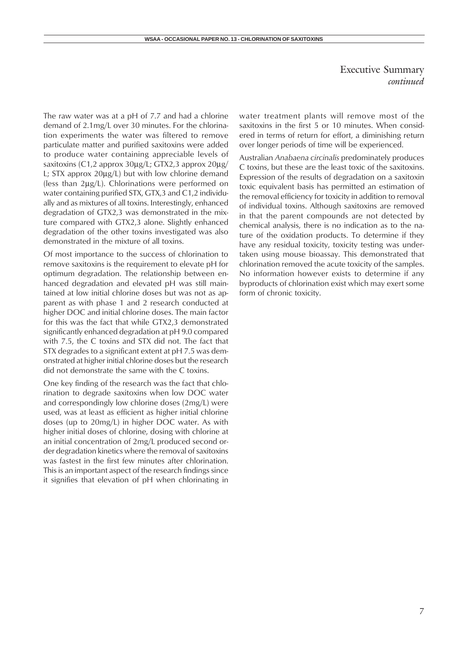Executive Summary *continued*

The raw water was at a pH of 7.7 and had a chlorine demand of 2.1mg/L over 30 minutes. For the chlorination experiments the water was filtered to remove particulate matter and purified saxitoxins were added to produce water containing appreciable levels of saxitoxins (C1,2 approx 30µg/L; GTX2,3 approx 20µg/ L; STX approx 20µg/L) but with low chlorine demand (less than 2µg/L). Chlorinations were performed on water containing purified STX, GTX, 3 and C1,2 individually and as mixtures of all toxins. Interestingly, enhanced degradation of GTX2,3 was demonstrated in the mixture compared with GTX2,3 alone. Slightly enhanced degradation of the other toxins investigated was also demonstrated in the mixture of all toxins.

Of most importance to the success of chlorination to remove saxitoxins is the requirement to elevate pH for optimum degradation. The relationship between enhanced degradation and elevated pH was still maintained at low initial chlorine doses but was not as apparent as with phase 1 and 2 research conducted at higher DOC and initial chlorine doses. The main factor for this was the fact that while GTX2,3 demonstrated significantly enhanced degradation at pH 9.0 compared with 7.5, the C toxins and STX did not. The fact that STX degrades to a significant extent at pH 7.5 was demonstrated at higher initial chlorine doses but the research did not demonstrate the same with the C toxins.

One key finding of the research was the fact that chlorination to degrade saxitoxins when low DOC water and correspondingly low chlorine doses (2mg/L) were used, was at least as efficient as higher initial chlorine doses (up to 20mg/L) in higher DOC water. As with higher initial doses of chlorine, dosing with chlorine at an initial concentration of 2mg/L produced second order degradation kinetics where the removal of saxitoxins was fastest in the first few minutes after chlorination. This is an important aspect of the research findings since it signifies that elevation of pH when chlorinating in

water treatment plants will remove most of the saxitoxins in the first 5 or 10 minutes. When considered in terms of return for effort, a diminishing return over longer periods of time will be experienced.

Australian *Anabaena circinalis* predominately produces C toxins, but these are the least toxic of the saxitoxins. Expression of the results of degradation on a saxitoxin toxic equivalent basis has permitted an estimation of the removal efficiency for toxicity in addition to removal of individual toxins. Although saxitoxins are removed in that the parent compounds are not detected by chemical analysis, there is no indication as to the nature of the oxidation products. To determine if they have any residual toxicity, toxicity testing was undertaken using mouse bioassay. This demonstrated that chlorination removed the acute toxicity of the samples. No information however exists to determine if any byproducts of chlorination exist which may exert some form of chronic toxicity.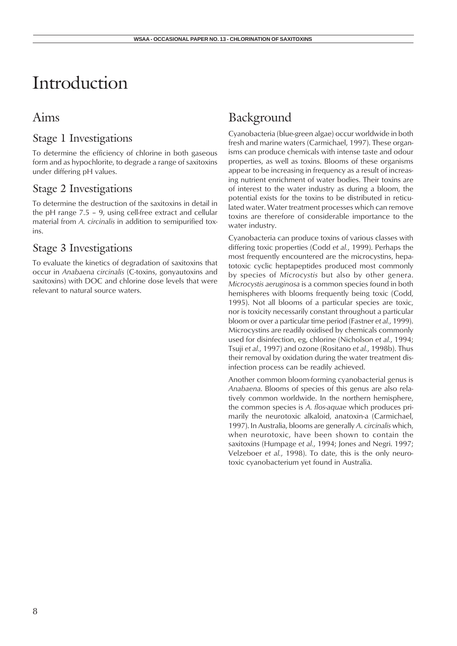# Introduction

## Aims

## Stage 1 Investigations

To determine the efficiency of chlorine in both gaseous form and as hypochlorite, to degrade a range of saxitoxins under differing pH values.

## Stage 2 Investigations

To determine the destruction of the saxitoxins in detail in the pH range 7.5 – 9, using cell-free extract and cellular material from *A. circinalis* in addition to semipurified toxins.

## Stage 3 Investigations

To evaluate the kinetics of degradation of saxitoxins that occur in *Anabaena circinalis* (C-toxins, gonyautoxins and saxitoxins) with DOC and chlorine dose levels that were relevant to natural source waters.

## Background

Cyanobacteria (blue-green algae) occur worldwide in both fresh and marine waters (Carmichael, 1997). These organisms can produce chemicals with intense taste and odour properties, as well as toxins. Blooms of these organisms appear to be increasing in frequency as a result of increasing nutrient enrichment of water bodies. Their toxins are of interest to the water industry as during a bloom, the potential exists for the toxins to be distributed in reticulated water. Water treatment processes which can remove toxins are therefore of considerable importance to the water industry.

Cyanobacteria can produce toxins of various classes with differing toxic properties (Codd *et al.*, 1999). Perhaps the most frequently encountered are the microcystins, hepatotoxic cyclic heptapeptides produced most commonly by species of *Microcystis* but also by other genera. *Microcystis aeruginosa* is a common species found in both hemispheres with blooms frequently being toxic (Codd, 1995). Not all blooms of a particular species are toxic, nor is toxicity necessarily constant throughout a particular bloom or over a particular time period (Fastner *et al.*, 1999). Microcystins are readily oxidised by chemicals commonly used for disinfection, eg, chlorine (Nicholson *et al.*, 1994; Tsuji *et al.*, 1997) and ozone (Rositano *et al.*, 1998b). Thus their removal by oxidation during the water treatment disinfection process can be readily achieved.

Another common bloom-forming cyanobacterial genus is *Anabaena*. Blooms of species of this genus are also relatively common worldwide. In the northern hemisphere, the common species is *A. flos-aquae* which produces primarily the neurotoxic alkaloid, anatoxin-a (Carmichael, 1997). In Australia, blooms are generally *A. circinalis* which, when neurotoxic, have been shown to contain the saxitoxins (Humpage *et al.*, 1994; Jones and Negri. 1997; Velzeboer *et al.*, 1998). To date, this is the only neurotoxic cyanobacterium yet found in Australia.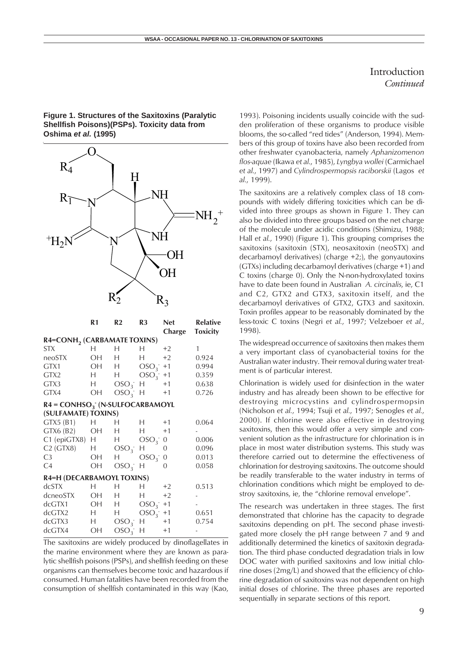#### Introduction *Continued*

#### **Figure 1. Structures of the Saxitoxins (Paralytic Shellfish Poisons)(PSPs). Toxicity data from Oshima** *et al.* **(1995)**



The saxitoxins are widely produced by dinoflagellates in the marine environment where they are known as paralytic shellfish poisons (PSPs), and shellfish feeding on these organisms can themselves become toxic and hazardous if consumed. Human fatalities have been recorded from the consumption of shellfish contaminated in this way (Kao, 1993). Poisoning incidents usually coincide with the sudden proliferation of these organisms to produce visible blooms, the so-called "red tides" (Anderson, 1994). Members of this group of toxins have also been recorded from other freshwater cyanobacteria, namely *Aphanizomenon flos-aquae* (Ikawa *et al.*, 1985), *Lyngbya wollei* (Carmichael *et al.*, 1997) and *Cylindrospermopsis raciborskii* (Lagos *et al.*, 1999).

The saxitoxins are a relatively complex class of 18 compounds with widely differing toxicities which can be divided into three groups as shown in Figure 1. They can also be divided into three groups based on the net charge of the molecule under acidic conditions (Shimizu, 1988; Hall *et al.*, 1990) (Figure 1). This grouping comprises the saxitoxins (saxitoxin (STX), neosaxitoxin (neoSTX) and decarbamoyl derivatives) (charge +2;), the gonyautoxins (GTXs) including decarbamoyl derivatives (charge +1) and C toxins (charge 0). Only the N-non-hydroxylated toxins have to date been found in Australian *A. circinalis*, ie, C1 and C2, GTX2 and GTX3, saxitoxin itself, and the decarbamoyl derivatives of GTX2, GTX3 and saxitoxin. Toxin profiles appear to be reasonably dominated by the less-toxic C toxins (Negri *et al.*, 1997; Velzeboer *et al.*, 1998).

The widespread occurrence of saxitoxins then makes them a very important class of cyanobacterial toxins for the Australian water industry. Their removal during water treatment is of particular interest.

Chlorination is widely used for disinfection in the water industry and has already been shown to be effective for destroying microcystins and cylindrospermopsin (Nicholson *et al.*, 1994; Tsuji *et al.*, 1997; Senogles *et al.*, 2000). If chlorine were also effective in destroying saxitoxins, then this would offer a very simple and convenient solution as the infrastructure for chlorination is in place in most water distribution systems. This study was therefore carried out to determine the effectiveness of chlorination for destroying saxitoxins. The outcome should be readily transferable to the water industry in terms of chlorination conditions which might be employed to destroy saxitoxins, ie, the "chlorine removal envelope".

The research was undertaken in three stages. The first demonstrated that chlorine has the capacity to degrade saxitoxins depending on pH. The second phase investigated more closely the pH range between 7 and 9 and additionally determined the kinetics of saxitoxin degradation. The third phase conducted degradation trials in low DOC water with purified saxitoxins and low initial chlorine doses (2mg/L) and showed that the efficiency of chlorine degradation of saxitoxins was not dependent on high initial doses of chlorine. The three phases are reported sequentially in separate sections of this report.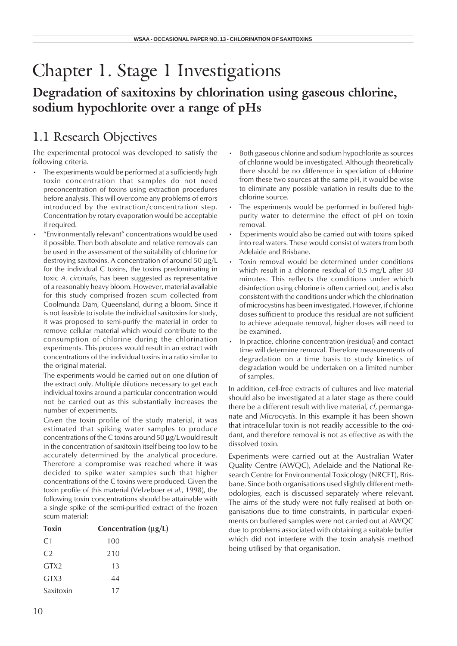# Chapter 1. Stage 1 Investigations

## **Degradation of saxitoxins by chlorination using gaseous chlorine, sodium hypochlorite over a range of pHs**

## 1.1 Research Objectives

The experimental protocol was developed to satisfy the following criteria.

- The experiments would be performed at a sufficiently high toxin concentration that samples do not need preconcentration of toxins using extraction procedures before analysis. This will overcome any problems of errors introduced by the extraction/concentration step. Concentration by rotary evaporation would be acceptable if required.
- "Environmentally relevant" concentrations would be used if possible. Then both absolute and relative removals can be used in the assessment of the suitability of chlorine for destroying saxitoxins. A concentration of around 50 µg/L for the individual C toxins, the toxins predominating in toxic *A. circinalis*, has been suggested as representative of a reasonably heavy bloom. However, material available for this study comprised frozen scum collected from Coolmunda Dam, Queensland, during a bloom. Since it is not feasible to isolate the individual saxitoxins for study, it was proposed to semi-purify the material in order to remove cellular material which would contribute to the consumption of chlorine during the chlorination experiments. This process would result in an extract with concentrations of the individual toxins in a ratio similar to the original material.

The experiments would be carried out on one dilution of the extract only. Multiple dilutions necessary to get each individual toxins around a particular concentration would not be carried out as this substantially increases the number of experiments.

Given the toxin profile of the study material, it was estimated that spiking water samples to produce concentrations of the C toxins around 50 µg/L would result in the concentration of saxitoxin itself being too low to be accurately determined by the analytical procedure. Therefore a compromise was reached where it was decided to spike water samples such that higher concentrations of the C toxins were produced. Given the toxin profile of this material (Velzeboer *et al.*, 1998), the following toxin concentrations should be attainable with a single spike of the semi-purified extract of the frozen scum material:

| <b>Toxin</b>     | Concentration $(\mu g/L)$ |
|------------------|---------------------------|
| C <sub>1</sub>   | 100                       |
| C <sub>2</sub>   | 210                       |
| GTX <sub>2</sub> | 13                        |
| GTX3             | 44                        |
| Saxitoxin        | 17                        |

- Both gaseous chlorine and sodium hypochlorite as sources of chlorine would be investigated. Although theoretically there should be no difference in speciation of chlorine from these two sources at the same pH, it would be wise to eliminate any possible variation in results due to the chlorine source.
- The experiments would be performed in buffered highpurity water to determine the effect of pH on toxin removal.
- Experiments would also be carried out with toxins spiked into real waters. These would consist of waters from both Adelaide and Brisbane.
- Toxin removal would be determined under conditions which result in a chlorine residual of 0.5 mg/L after 30 minutes. This reflects the conditions under which disinfection using chlorine is often carried out, and is also consistent with the conditions under which the chlorination of microcystins has been investigated. However, if chlorine doses sufficient to produce this residual are not sufficient to achieve adequate removal, higher doses will need to be examined.
- In practice, chlorine concentration (residual) and contact time will determine removal. Therefore measurements of degradation on a time basis to study kinetics of degradation would be undertaken on a limited number of samples.

In addition, cell-free extracts of cultures and live material should also be investigated at a later stage as there could there be a different result with live material, *cf*, permanganate and *Microcystis*. In this example it has been shown that intracellular toxin is not readily accessible to the oxidant, and therefore removal is not as effective as with the dissolved toxin.

Experiments were carried out at the Australian Water Quality Centre (AWQC), Adelaide and the National Research Centre for Environmental Toxicology (NRCET), Brisbane. Since both organisations used slightly different methodologies, each is discussed separately where relevant. The aims of the study were not fully realised at both organisations due to time constraints, in particular experiments on buffered samples were not carried out at AWQC due to problems associated with obtaining a suitable buffer which did not interfere with the toxin analysis method being utilised by that organisation.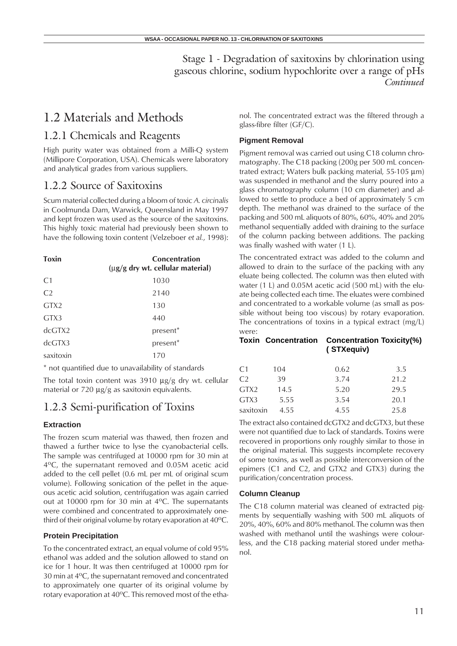## 1.2 Materials and Methods

### 1.2.1 Chemicals and Reagents

High purity water was obtained from a Milli-Q system (Millipore Corporation, USA). Chemicals were laboratory and analytical grades from various suppliers.

### 1.2.2 Source of Saxitoxins

Scum material collected during a bloom of toxic *A. circinalis* in Coolmunda Dam, Warwick, Queensland in May 1997 and kept frozen was used as the source of the saxitoxins. This highly toxic material had previously been shown to have the following toxin content (Velzeboer *et al.*, 1998):

| <b>Toxin</b>     | <b>Concentration</b><br>$\mu$ g/g dry wt. cellular material) |
|------------------|--------------------------------------------------------------|
| C <sub>1</sub>   | 1030                                                         |
| C <sub>2</sub>   | 2140                                                         |
| GTX <sub>2</sub> | 130                                                          |
| GTX3             | 440                                                          |
| dcGTX2           | present <sup>*</sup>                                         |
| dcGTX3           | present <sup>*</sup>                                         |
| saxitoxin        | 170                                                          |

\* not quantified due to unavailability of standards

The total toxin content was 3910 µg/g dry wt. cellular material or 720 µg/g as saxitoxin equivalents.

### 1.2.3 Semi-purification of Toxins

#### **Extraction**

The frozen scum material was thawed, then frozen and thawed a further twice to lyse the cyanobacterial cells. The sample was centrifuged at 10000 rpm for 30 min at 4°C, the supernatant removed and 0.05M acetic acid added to the cell pellet (0.6 mL per mL of original scum volume). Following sonication of the pellet in the aqueous acetic acid solution, centrifugation was again carried out at 10000 rpm for 30 min at  $4^{\circ}$ C. The supernatants were combined and concentrated to approximately onethird of their original volume by rotary evaporation at  $40^{\circ}$ C.

#### **Protein Precipitation**

To the concentrated extract, an equal volume of cold 95% ethanol was added and the solution allowed to stand on ice for 1 hour. It was then centrifuged at 10000 rpm for 30 min at 4°C, the supernatant removed and concentrated to approximately one quarter of its original volume by rotary evaporation at 40°C. This removed most of the ethanol. The concentrated extract was the filtered through a glass-fibre filter (GF/C).

#### **Pigment Removal**

Pigment removal was carried out using C18 column chromatography. The C18 packing (200g per 500 mL concentrated extract; Waters bulk packing material, 55-105 µm) was suspended in methanol and the slurry poured into a glass chromatography column (10 cm diameter) and allowed to settle to produce a bed of approximately 5 cm depth. The methanol was drained to the surface of the packing and 500 mL aliquots of 80%, 60%, 40% and 20% methanol sequentially added with draining to the surface of the column packing between additions. The packing was finally washed with water (1 L).

The concentrated extract was added to the column and allowed to drain to the surface of the packing with any eluate being collected. The column was then eluted with water (1 L) and 0.05M acetic acid (500 mL) with the eluate being collected each time. The eluates were combined and concentrated to a workable volume (as small as possible without being too viscous) by rotary evaporation. The concentrations of toxins in a typical extract (mg/L) were:

#### **Toxin Concentration Concentration Toxicity(%) ( STXequiv)**

| C1             | 104  | 0.62 | 3.5  |
|----------------|------|------|------|
| C <sub>2</sub> | 39   | 3.74 | 21.2 |
| GTX2           | 14.5 | 5.20 | 29.5 |
| GTX3           | 5.55 | 3.54 | 20.1 |
| saxitoxin      | 4.55 | 4.55 | 25.8 |

The extract also contained dcGTX2 and dcGTX3, but these were not quantified due to lack of standards. Toxins were recovered in proportions only roughly similar to those in the original material. This suggests incomplete recovery of some toxins, as well as possible interconversion of the epimers (C1 and C2, and GTX2 and GTX3) during the purification/concentration process.

#### **Column Cleanup**

The C18 column material was cleaned of extracted pigments by sequentially washing with 500 mL aliquots of 20%, 40%, 60% and 80% methanol. The column was then washed with methanol until the washings were colourless, and the C18 packing material stored under methanol.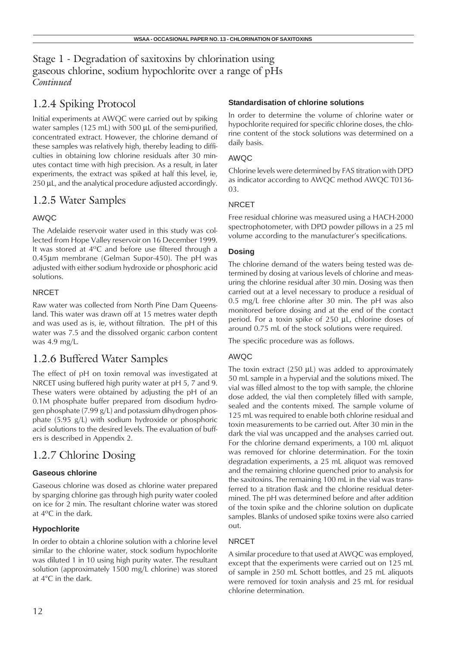## 1.2.4 Spiking Protocol

Initial experiments at AWQC were carried out by spiking water samples (125 mL) with 500 µL of the semi-purified, concentrated extract. However, the chlorine demand of these samples was relatively high, thereby leading to difficulties in obtaining low chlorine residuals after 30 minutes contact time with high precision. As a result, in later experiments, the extract was spiked at half this level, ie, 250  $\mu$ L, and the analytical procedure adjusted accordingly.

## 1.2.5 Water Samples

#### AWQC

The Adelaide reservoir water used in this study was collected from Hope Valley reservoir on 16 December 1999. It was stored at 4°C and before use filtered through a 0.45µm membrane (Gelman Supor-450). The pH was adjusted with either sodium hydroxide or phosphoric acid solutions.

#### **NRCET**

Raw water was collected from North Pine Dam Queensland. This water was drawn off at 15 metres water depth and was used as is, ie, without filtration. The pH of this water was 7.5 and the dissolved organic carbon content was 4.9 mg/L.

## 1.2.6 Buffered Water Samples

The effect of pH on toxin removal was investigated at NRCET using buffered high purity water at pH 5, 7 and 9. These waters were obtained by adjusting the pH of an 0.1M phosphate buffer prepared from disodium hydrogen phosphate (7.99 g/L) and potassium dihydrogen phosphate (5.95 g/L) with sodium hydroxide or phosphoric acid solutions to the desired levels. The evaluation of buffers is described in Appendix 2.

## 1.2.7 Chlorine Dosing

#### **Gaseous chlorine**

Gaseous chlorine was dosed as chlorine water prepared by sparging chlorine gas through high purity water cooled on ice for 2 min. The resultant chlorine water was stored at 4°C in the dark.

#### **Hypochlorite**

In order to obtain a chlorine solution with a chlorine level similar to the chlorine water, stock sodium hypochlorite was diluted 1 in 10 using high purity water. The resultant solution (approximately 1500 mg/L chlorine) was stored at 4°C in the dark.

#### **Standardisation of chlorine solutions**

In order to determine the volume of chlorine water or hypochlorite required for specific chlorine doses, the chlorine content of the stock solutions was determined on a daily basis.

#### AWQC

Chlorine levels were determined by FAS titration with DPD as indicator according to AWQC method AWQC T0136- 03.

#### NRCET

Free residual chlorine was measured using a HACH-2000 spectrophotometer, with DPD powder pillows in a 25 ml volume according to the manufacturer's specifications.

#### **Dosing**

The chlorine demand of the waters being tested was determined by dosing at various levels of chlorine and measuring the chlorine residual after 30 min. Dosing was then carried out at a level necessary to produce a residual of 0.5 mg/L free chlorine after 30 min. The pH was also monitored before dosing and at the end of the contact period. For a toxin spike of 250 µL, chlorine doses of around 0.75 mL of the stock solutions were required.

The specific procedure was as follows.

#### AWQC

The toxin extract  $(250 \mu L)$  was added to approximately 50 mL sample in a hypervial and the solutions mixed. The vial was filled almost to the top with sample, the chlorine dose added, the vial then completely filled with sample, sealed and the contents mixed. The sample volume of 125 mL was required to enable both chlorine residual and toxin measurements to be carried out. After 30 min in the dark the vial was uncapped and the analyses carried out. For the chlorine demand experiments, a 100 mL aliquot was removed for chlorine determination. For the toxin degradation experiments, a 25 mL aliquot was removed and the remaining chlorine quenched prior to analysis for the saxitoxins. The remaining 100 mL in the vial was transferred to a titration flask and the chlorine residual determined. The pH was determined before and after addition of the toxin spike and the chlorine solution on duplicate samples. Blanks of undosed spike toxins were also carried out.

#### NRCET

A similar procedure to that used at AWQC was employed, except that the experiments were carried out on 125 mL of sample in 250 mL Schott bottles, and 25 mL aliquots were removed for toxin analysis and 25 mL for residual chlorine determination.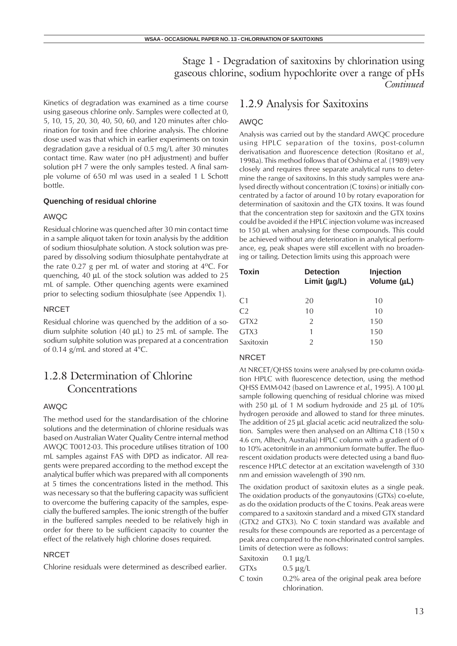Kinetics of degradation was examined as a time course using gaseous chlorine only. Samples were collected at 0, 5, 10, 15, 20, 30, 40, 50, 60, and 120 minutes after chlorination for toxin and free chlorine analysis. The chlorine dose used was that which in earlier experiments on toxin degradation gave a residual of 0.5 mg/L after 30 minutes contact time. Raw water (no pH adjustment) and buffer solution pH 7 were the only samples tested. A final sample volume of 650 ml was used in a sealed 1 L Schott bottle.

#### **Quenching of residual chlorine**

#### AWQC

Residual chlorine was quenched after 30 min contact time in a sample aliquot taken for toxin analysis by the addition of sodium thiosulphate solution. A stock solution was prepared by dissolving sodium thiosulphate pentahydrate at the rate 0.27 g per mL of water and storing at  $4^{\circ}$ C. For quenching, 40 µL of the stock solution was added to 25 mL of sample. Other quenching agents were examined prior to selecting sodium thiosulphate (see Appendix 1).

#### NRCET

Residual chlorine was quenched by the addition of a sodium sulphite solution (40 µL) to 25 mL of sample. The sodium sulphite solution was prepared at a concentration of 0.14 g/mL and stored at 4°C.

### 1.2.8 Determination of Chlorine Concentrations

#### AWQC

The method used for the standardisation of the chlorine solutions and the determination of chlorine residuals was based on Australian Water Quality Centre internal method AWQC T0012-03. This procedure utilises titration of 100 mL samples against FAS with DPD as indicator. All reagents were prepared according to the method except the analytical buffer which was prepared with all components at 5 times the concentrations listed in the method. This was necessary so that the buffering capacity was sufficient to overcome the buffering capacity of the samples, especially the buffered samples. The ionic strength of the buffer in the buffered samples needed to be relatively high in order for there to be sufficient capacity to counter the effect of the relatively high chlorine doses required.

#### **NRCET**

Chlorine residuals were determined as described earlier.

#### 1.2.9 Analysis for Saxitoxins

#### AWQC

Analysis was carried out by the standard AWQC procedure using HPLC separation of the toxins, post-column derivatisation and fluorescence detection (Rositano *et al.*, 1998a). This method follows that of Oshima *et al.* (1989) very closely and requires three separate analytical runs to determine the range of saxitoxins. In this study samples were analysed directly without concentration (C toxins) or initially concentrated by a factor of around 10 by rotary evaporation for determination of saxitoxin and the GTX toxins. It was found that the concentration step for saxitoxin and the GTX toxins could be avoided if the HPLC injection volume was increased to 150 µL when analysing for these compounds. This could be achieved without any deterioration in analytical performance, eg, peak shapes were still excellent with no broadening or tailing. Detection limits using this approach were

| <b>Detection</b><br>Limit $(\mu g/L)$ | <b>Injection</b><br>Volume (µL) |  |
|---------------------------------------|---------------------------------|--|
| 20                                    | 10                              |  |
| 10                                    | 10                              |  |
| $\mathfrak{D}$                        | 150                             |  |
|                                       | 150                             |  |
| 2                                     | 150                             |  |
|                                       |                                 |  |

#### NRCET

At NRCET/QHSS toxins were analysed by pre-column oxidation HPLC with fluorescence detection, using the method QHSS EMM-042 (based on Lawrence *et al*., 1995). A 100 µL sample following quenching of residual chlorine was mixed with 250  $\mu$ L of 1 M sodium hydroxide and 25  $\mu$ L of 10% hydrogen peroxide and allowed to stand for three minutes. The addition of 25 µL glacial acetic acid neutralized the solution. Samples were then analysed on an Alltima C18 (150 x 4.6 cm, Alltech, Australia) HPLC column with a gradient of 0 to 10% acetonitrile in an ammonium formate buffer. The fluorescent oxidation products were detected using a band fluorescence HPLC detector at an excitation wavelength of 330 nm and emission wavelength of 390 nm.

The oxidation product of saxitoxin elutes as a single peak. The oxidation products of the gonyautoxins (GTXs) co-elute, as do the oxidation products of the C toxins. Peak areas were compared to a saxitoxin standard and a mixed GTX standard (GTX2 and GTX3). No C toxin standard was available and results for these compounds are reported as a percentage of peak area compared to the non-chlorinated control samples. Limits of detection were as follows:

| Saxitoxin   | 0.1 $\mu$ g/L                                               |
|-------------|-------------------------------------------------------------|
| <b>GTXs</b> | $0.5 \mu$ g/L                                               |
| C toxin     | 0.2% area of the original peak area before<br>chlorination. |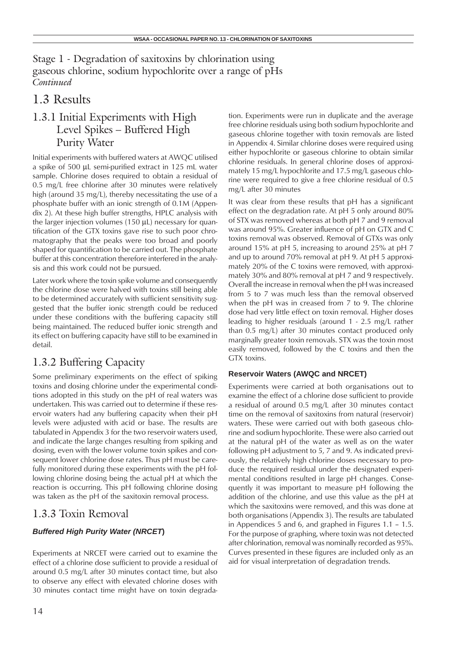## 1.3 Results

## 1.3.1 Initial Experiments with High Level Spikes – Buffered High Purity Water

Initial experiments with buffered waters at AWQC utilised a spike of 500 µL semi-purified extract in 125 mL water sample. Chlorine doses required to obtain a residual of 0.5 mg/L free chlorine after 30 minutes were relatively high (around 35 mg/L), thereby necessitating the use of a phosphate buffer with an ionic strength of 0.1M (Appendix 2). At these high buffer strengths, HPLC analysis with the larger injection volumes (150 µL) necessary for quantification of the GTX toxins gave rise to such poor chromatography that the peaks were too broad and poorly shaped for quantification to be carried out. The phosphate buffer at this concentration therefore interfered in the analysis and this work could not be pursued.

Later work where the toxin spike volume and consequently the chlorine dose were halved with toxins still being able to be determined accurately with sufficient sensitivity suggested that the buffer ionic strength could be reduced under these conditions with the buffering capacity still being maintained. The reduced buffer ionic strength and its effect on buffering capacity have still to be examined in detail.

## 1.3.2 Buffering Capacity

Some preliminary experiments on the effect of spiking toxins and dosing chlorine under the experimental conditions adopted in this study on the pH of real waters was undertaken. This was carried out to determine if these reservoir waters had any buffering capacity when their pH levels were adjusted with acid or base. The results are tabulated in Appendix 3 for the two reservoir waters used, and indicate the large changes resulting from spiking and dosing, even with the lower volume toxin spikes and consequent lower chlorine dose rates. Thus pH must be carefully monitored during these experiments with the pH following chlorine dosing being the actual pH at which the reaction is occurring. This pH following chlorine dosing was taken as the pH of the saxitoxin removal process.

### 1.3.3 Toxin Removal

#### *Buffered High Purity Water (NRCET***)**

Experiments at NRCET were carried out to examine the effect of a chlorine dose sufficient to provide a residual of around 0.5 mg/L after 30 minutes contact time, but also to observe any effect with elevated chlorine doses with 30 minutes contact time might have on toxin degradation. Experiments were run in duplicate and the average free chlorine residuals using both sodium hypochlorite and gaseous chlorine together with toxin removals are listed in Appendix 4. Similar chlorine doses were required using either hypochlorite or gaseous chlorine to obtain similar chlorine residuals. In general chlorine doses of approximately 15 mg/L hypochlorite and 17.5 mg/L gaseous chlorine were required to give a free chlorine residual of 0.5 mg/L after 30 minutes

It was clear from these results that pH has a significant effect on the degradation rate. At pH 5 only around 80% of STX was removed whereas at both pH 7 and 9 removal was around 95%. Greater influence of pH on GTX and C toxins removal was observed. Removal of GTXs was only around 15% at pH 5, increasing to around 25% at pH 7 and up to around 70% removal at pH 9. At pH 5 approximately 20% of the C toxins were removed, with approximately 30% and 80% removal at pH 7 and 9 respectively. Overall the increase in removal when the pH was increased from 5 to 7 was much less than the removal observed when the pH was in creased from 7 to 9. The chlorine dose had very little effect on toxin removal. Higher doses leading to higher residuals (around 1 - 2.5 mg/L rather than 0.5 mg/L) after 30 minutes contact produced only marginally greater toxin removals. STX was the toxin most easily removed, followed by the C toxins and then the GTX toxins.

#### **Reservoir Waters (AWQC and NRCET)**

Experiments were carried at both organisations out to examine the effect of a chlorine dose sufficient to provide a residual of around 0.5 mg/L after 30 minutes contact time on the removal of saxitoxins from natural (reservoir) waters. These were carried out with both gaseous chlorine and sodium hypochlorite. These were also carried out at the natural pH of the water as well as on the water following pH adjustment to 5, 7 and 9. As indicated previously, the relatively high chlorine doses necessary to produce the required residual under the designated experimental conditions resulted in large pH changes. Consequently it was important to measure pH following the addition of the chlorine, and use this value as the pH at which the saxitoxins were removed, and this was done at both organisations (Appendix 3). The results are tabulated in Appendices 5 and 6, and graphed in Figures 1.1 – 1.5. For the purpose of graphing, where toxin was not detected after chlorination, removal was nominally recorded as 95%. Curves presented in these figures are included only as an aid for visual interpretation of degradation trends.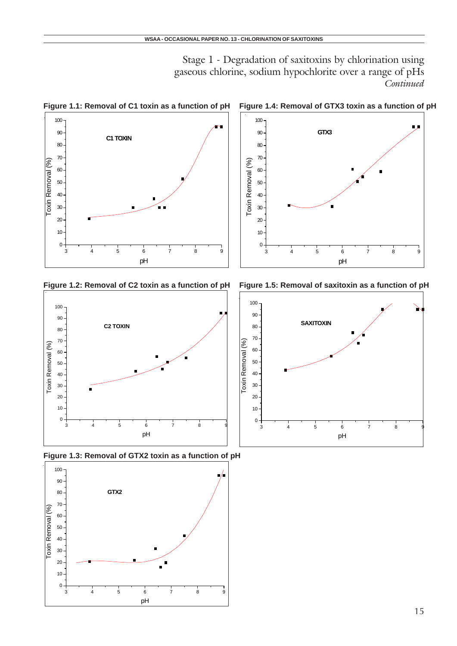

**Figure 1.1: Removal of C1 toxin as a function of pH Figure 1.4: Removal of GTX3 toxin as a function of pH**







pH



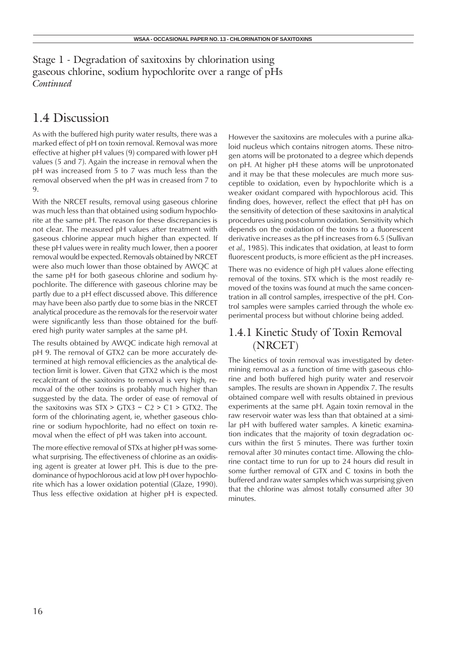## 1.4 Discussion

As with the buffered high purity water results, there was a marked effect of pH on toxin removal. Removal was more effective at higher pH values (9) compared with lower pH values (5 and 7). Again the increase in removal when the pH was increased from 5 to 7 was much less than the removal observed when the pH was in creased from 7 to 9.

With the NRCET results, removal using gaseous chlorine was much less than that obtained using sodium hypochlorite at the same pH. The reason for these discrepancies is not clear. The measured pH values after treatment with gaseous chlorine appear much higher than expected. If these pH values were in reality much lower, then a poorer removal would be expected. Removals obtained by NRCET were also much lower than those obtained by AWQC at the same pH for both gaseous chlorine and sodium hypochlorite. The difference with gaseous chlorine may be partly due to a pH effect discussed above. This difference may have been also partly due to some bias in the NRCET analytical procedure as the removals for the reservoir water were significantly less than those obtained for the buffered high purity water samples at the same pH.

The results obtained by AWQC indicate high removal at pH 9. The removal of GTX2 can be more accurately determined at high removal efficiencies as the analytical detection limit is lower. Given that GTX2 which is the most recalcitrant of the saxitoxins to removal is very high, removal of the other toxins is probably much higher than suggested by the data. The order of ease of removal of the saxitoxins was  $STX > GTX3 \sim C2 > C1 > GTX2$ . The form of the chlorinating agent, ie, whether gaseous chlorine or sodium hypochlorite, had no effect on toxin removal when the effect of pH was taken into account.

The more effective removal of STXs at higher pH was somewhat surprising. The effectiveness of chlorine as an oxidising agent is greater at lower pH. This is due to the predominance of hypochlorous acid at low pH over hypochlorite which has a lower oxidation potential (Glaze, 1990). Thus less effective oxidation at higher pH is expected. However the saxitoxins are molecules with a purine alkaloid nucleus which contains nitrogen atoms. These nitrogen atoms will be protonated to a degree which depends on pH. At higher pH these atoms will be unprotonated and it may be that these molecules are much more susceptible to oxidation, even by hypochlorite which is a weaker oxidant compared with hypochlorous acid. This finding does, however, reflect the effect that pH has on the sensitivity of detection of these saxitoxins in analytical procedures using post-column oxidation. Sensitivity which depends on the oxidation of the toxins to a fluorescent derivative increases as the pH increases from 6.5 (Sullivan *et al.*, 1985). This indicates that oxidation, at least to form fluorescent products, is more efficient as the pH increases.

There was no evidence of high pH values alone effecting removal of the toxins. STX which is the most readily removed of the toxins was found at much the same concentration in all control samples, irrespective of the pH. Control samples were samples carried through the whole experimental process but without chlorine being added.

### 1.4.1 Kinetic Study of Toxin Removal (NRCET)

The kinetics of toxin removal was investigated by determining removal as a function of time with gaseous chlorine and both buffered high purity water and reservoir samples. The results are shown in Appendix 7. The results obtained compare well with results obtained in previous experiments at the same pH. Again toxin removal in the raw reservoir water was less than that obtained at a similar pH with buffered water samples. A kinetic examination indicates that the majority of toxin degradation occurs within the first 5 minutes. There was further toxin removal after 30 minutes contact time. Allowing the chlorine contact time to run for up to 24 hours did result in some further removal of GTX and C toxins in both the buffered and raw water samples which was surprising given that the chlorine was almost totally consumed after 30 minutes.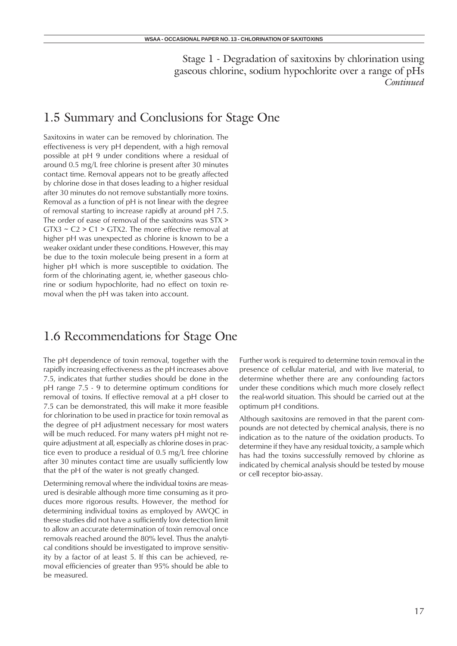## 1.5 Summary and Conclusions for Stage One

Saxitoxins in water can be removed by chlorination. The effectiveness is very pH dependent, with a high removal possible at pH 9 under conditions where a residual of around 0.5 mg/L free chlorine is present after 30 minutes contact time. Removal appears not to be greatly affected by chlorine dose in that doses leading to a higher residual after 30 minutes do not remove substantially more toxins. Removal as a function of pH is not linear with the degree of removal starting to increase rapidly at around pH 7.5. The order of ease of removal of the saxitoxins was STX >  $GTX3 \sim C2 > C1 > GTX2$ . The more effective removal at higher pH was unexpected as chlorine is known to be a weaker oxidant under these conditions. However, this may be due to the toxin molecule being present in a form at higher pH which is more susceptible to oxidation. The form of the chlorinating agent, ie, whether gaseous chlorine or sodium hypochlorite, had no effect on toxin removal when the pH was taken into account.

## 1.6 Recommendations for Stage One

The pH dependence of toxin removal, together with the rapidly increasing effectiveness as the pH increases above 7.5, indicates that further studies should be done in the pH range 7.5 - 9 to determine optimum conditions for removal of toxins. If effective removal at a pH closer to 7.5 can be demonstrated, this will make it more feasible for chlorination to be used in practice for toxin removal as the degree of pH adjustment necessary for most waters will be much reduced. For many waters pH might not require adjustment at all, especially as chlorine doses in practice even to produce a residual of 0.5 mg/L free chlorine after 30 minutes contact time are usually sufficiently low that the pH of the water is not greatly changed.

Determining removal where the individual toxins are measured is desirable although more time consuming as it produces more rigorous results. However, the method for determining individual toxins as employed by AWQC in these studies did not have a sufficiently low detection limit to allow an accurate determination of toxin removal once removals reached around the 80% level. Thus the analytical conditions should be investigated to improve sensitivity by a factor of at least 5. If this can be achieved, removal efficiencies of greater than 95% should be able to be measured.

Further work is required to determine toxin removal in the presence of cellular material, and with live material, to determine whether there are any confounding factors under these conditions which much more closely reflect the real-world situation. This should be carried out at the optimum pH conditions.

Although saxitoxins are removed in that the parent compounds are not detected by chemical analysis, there is no indication as to the nature of the oxidation products. To determine if they have any residual toxicity, a sample which has had the toxins successfully removed by chlorine as indicated by chemical analysis should be tested by mouse or cell receptor bio-assay.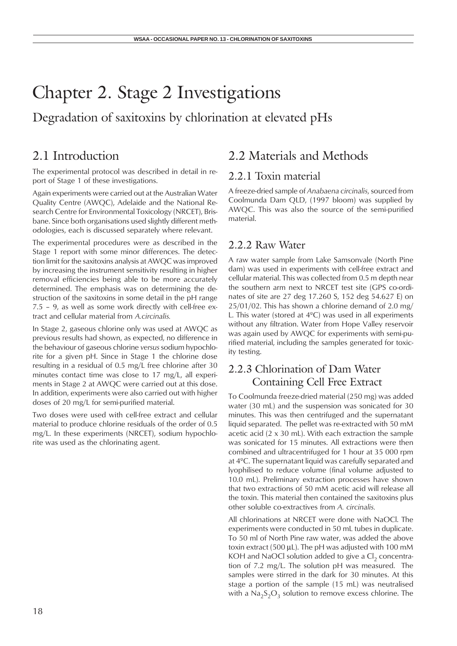## Chapter 2. Stage 2 Investigations

Degradation of saxitoxins by chlorination at elevated pHs

## 2.1 Introduction

The experimental protocol was described in detail in report of Stage 1 of these investigations.

Again experiments were carried out at the Australian Water Quality Centre (AWQC), Adelaide and the National Research Centre for Environmental Toxicology (NRCET), Brisbane. Since both organisations used slightly different methodologies, each is discussed separately where relevant.

The experimental procedures were as described in the Stage 1 report with some minor differences. The detection limit for the saxitoxins analysis at AWQC was improved by increasing the instrument sensitivity resulting in higher removal efficiencies being able to be more accurately determined. The emphasis was on determining the destruction of the saxitoxins in some detail in the pH range 7.5 – 9, as well as some work directly with cell-free extract and cellular material from *A.circinalis.*

In Stage 2, gaseous chlorine only was used at AWQC as previous results had shown, as expected, no difference in the behaviour of gaseous chlorine *versus* sodium hypochlorite for a given pH. Since in Stage 1 the chlorine dose resulting in a residual of 0.5 mg/L free chlorine after 30 minutes contact time was close to 17 mg/L, all experiments in Stage 2 at AWQC were carried out at this dose. In addition, experiments were also carried out with higher doses of 20 mg/L for semi-purified material.

Two doses were used with cell-free extract and cellular material to produce chlorine residuals of the order of 0.5 mg/L. In these experiments (NRCET), sodium hypochlorite was used as the chlorinating agent.

### 2.2 Materials and Methods

#### 2.2.1 Toxin material

A freeze-dried sample of *Anabaena circinalis*, sourced from Coolmunda Dam QLD, (1997 bloom) was supplied by AWQC. This was also the source of the semi-purified material.

#### 2.2.2 Raw Water

A raw water sample from Lake Samsonvale (North Pine dam) was used in experiments with cell-free extract and cellular material. This was collected from 0.5 m depth near the southern arm next to NRCET test site (GPS co-ordinates of site are 27 deg 17.260 S, 152 deg 54.627 E) on 25/01/02. This has shown a chlorine demand of 2.0 mg/ L. This water (stored at  $4^{\circ}$ C) was used in all experiments without any filtration. Water from Hope Valley reservoir was again used by AWQC for experiments with semi-purified material, including the samples generated for toxicity testing.

### 2.2.3 Chlorination of Dam Water Containing Cell Free Extract

To Coolmunda freeze-dried material (250 mg) was added water (30 mL) and the suspension was sonicated for 30 minutes. This was then centrifuged and the supernatant liquid separated. The pellet was re-extracted with 50 mM acetic acid (2 x 30 mL). With each extraction the sample was sonicated for 15 minutes. All extractions were then combined and ultracentrifuged for 1 hour at 35 000 rpm at 4ºC. The supernatant liquid was carefully separated and lyophilised to reduce volume (final volume adjusted to 10.0 mL). Preliminary extraction processes have shown that two extractions of 50 mM acetic acid will release all the toxin. This material then contained the saxitoxins plus other soluble co-extractives from *A. circinalis.*

All chlorinations at NRCET were done with NaOCl. The experiments were conducted in 50 mL tubes in duplicate. To 50 ml of North Pine raw water, was added the above toxin extract (500 µL). The pH was adjusted with 100 mM KOH and NaOCl solution added to give a  $Cl<sub>2</sub>$  concentration of 7.2 mg/L. The solution pH was measured. The samples were stirred in the dark for 30 minutes. At this stage a portion of the sample (15 mL) was neutralised with a  $Na<sub>2</sub>S<sub>2</sub>O<sub>3</sub>$  solution to remove excess chlorine. The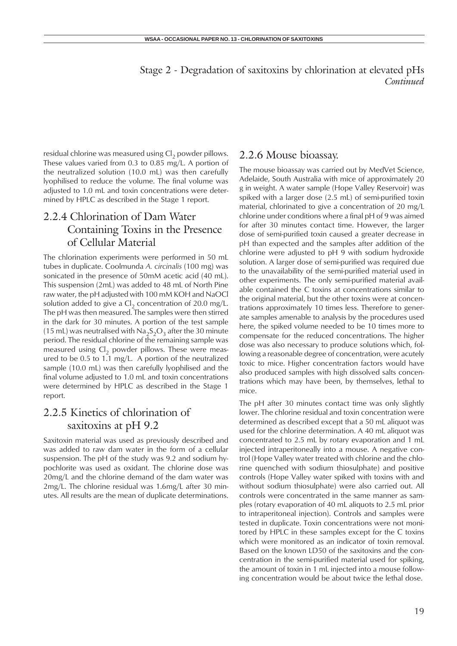residual chlorine was measured using  $Cl<sub>2</sub>$  powder pillows. These values varied from 0.3 to 0.85 mg/L. A portion of the neutralized solution (10.0 mL) was then carefully lyophilised to reduce the volume. The final volume was adjusted to 1.0 mL and toxin concentrations were determined by HPLC as described in the Stage 1 report.

### 2.2.4 Chlorination of Dam Water Containing Toxins in the Presence of Cellular Material

The chlorination experiments were performed in 50 mL tubes in duplicate. Coolmunda *A. circinalis* (100 mg) was sonicated in the presence of 50mM acetic acid (40 mL). This suspension (2mL) was added to 48 mL of North Pine raw water, the pH adjusted with 100 mM KOH and NaOCl solution added to give a  $Cl<sub>2</sub>$  concentration of 20.0 mg/L. The pH was then measured. The samples were then stirred in the dark for 30 minutes. A portion of the test sample (15 mL) was neutralised with  $Na<sub>2</sub>S<sub>2</sub>O<sub>3</sub>$  after the 30 minute period. The residual chlorine of the remaining sample was measured using  $CI<sub>2</sub>$  powder pillows. These were measured to be 0.5 to 1.1 mg/L. A portion of the neutralized sample (10.0 mL) was then carefully lyophilised and the final volume adjusted to 1.0 mL and toxin concentrations were determined by HPLC as described in the Stage 1 report.

### 2.2.5 Kinetics of chlorination of saxitoxins at pH 9.2

Saxitoxin material was used as previously described and was added to raw dam water in the form of a cellular suspension. The pH of the study was 9.2 and sodium hypochlorite was used as oxidant. The chlorine dose was 20mg/L and the chlorine demand of the dam water was 2mg/L. The chlorine residual was 1.6mg/L after 30 minutes. All results are the mean of duplicate determinations.

#### 2.2.6 Mouse bioassay.

The mouse bioassay was carried out by MedVet Science, Adelaide, South Australia with mice of approximately 20 g in weight. A water sample (Hope Valley Reservoir) was spiked with a larger dose (2.5 mL) of semi-purified toxin material, chlorinated to give a concentration of 20 mg/L chlorine under conditions where a final pH of 9 was aimed for after 30 minutes contact time. However, the larger dose of semi-purified toxin caused a greater decrease in pH than expected and the samples after addition of the chlorine were adjusted to pH 9 with sodium hydroxide solution. A larger dose of semi-purified was required due to the unavailability of the semi-purified material used in other experiments. The only semi-purified material available contained the C toxins at concentrations similar to the original material, but the other toxins were at concentrations approximately 10 times less. Therefore to generate samples amenable to analysis by the procedures used here, the spiked volume needed to be 10 times more to compensate for the reduced concentrations. The higher dose was also necessary to produce solutions which, following a reasonable degree of concentration, were acutely toxic to mice. Higher concentration factors would have also produced samples with high dissolved salts concentrations which may have been, by themselves, lethal to mice.

The pH after 30 minutes contact time was only slightly lower. The chlorine residual and toxin concentration were determined as described except that a 50 mL aliquot was used for the chlorine determination. A 40 mL aliquot was concentrated to 2.5 mL by rotary evaporation and 1 mL injected intraperitoneally into a mouse. A negative control (Hope Valley water treated with chlorine and the chlorine quenched with sodium thiosulphate) and positive controls (Hope Valley water spiked with toxins with and without sodium thiosulphate) were also carried out. All controls were concentrated in the same manner as samples (rotary evaporation of 40 mL aliquots to 2.5 mL prior to intraperitoneal injection). Controls and samples were tested in duplicate. Toxin concentrations were not monitored by HPLC in these samples except for the C toxins which were monitored as an indicator of toxin removal. Based on the known LD50 of the saxitoxins and the concentration in the semi-purified material used for spiking, the amount of toxin in 1 mL injected into a mouse following concentration would be about twice the lethal dose.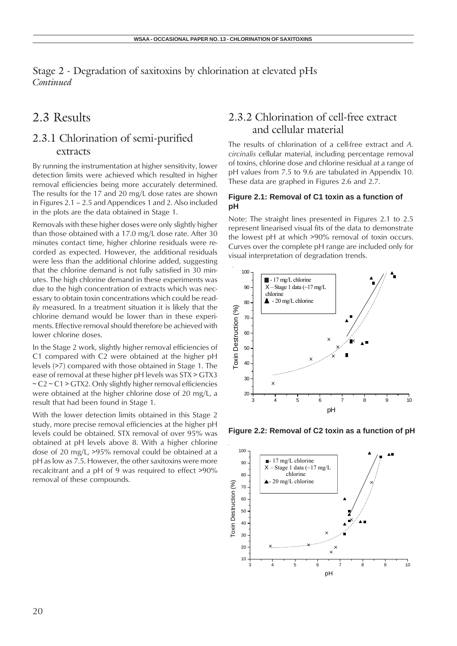## 2.3 Results

### 2.3.1 Chlorination of semi-purified extracts

By running the instrumentation at higher sensitivity, lower detection limits were achieved which resulted in higher removal efficiencies being more accurately determined. The results for the 17 and 20 mg/L dose rates are shown in Figures 2.1 – 2.5 and Appendices 1 and 2. Also included in the plots are the data obtained in Stage 1.

Removals with these higher doses were only slightly higher than those obtained with a 17.0 mg/L dose rate. After 30 minutes contact time, higher chlorine residuals were recorded as expected. However, the additional residuals were less than the additional chlorine added, suggesting that the chlorine demand is not fully satisfied in 30 minutes. The high chlorine demand in these experiments was due to the high concentration of extracts which was necessary to obtain toxin concentrations which could be readily measured. In a treatment situation it is likely that the chlorine demand would be lower than in these experiments. Effective removal should therefore be achieved with lower chlorine doses.

In the Stage 2 work, slightly higher removal efficiencies of C1 compared with C2 were obtained at the higher pH levels (>7) compared with those obtained in Stage 1. The ease of removal at these higher pH levels was STX > GTX3  $\sim$  C2  $\sim$  C1  $>$  GTX2. Only slightly higher removal efficiencies were obtained at the higher chlorine dose of 20 mg/L, a result that had been found in Stage 1.

With the lower detection limits obtained in this Stage 2 study, more precise removal efficiencies at the higher pH levels could be obtained. STX removal of over 95% was obtained at pH levels above 8. With a higher chlorine dose of 20 mg/L, >95% removal could be obtained at a pH as low as 7.5. However, the other saxitoxins were more recalcitrant and a pH of 9 was required to effect >90% removal of these compounds.

### 2.3.2 Chlorination of cell-free extract and cellular material

The results of chlorination of a cell-free extract and *A. circinalis* cellular material, including percentage removal of toxins, chlorine dose and chlorine residual at a range of pH values from 7.5 to 9.6 are tabulated in Appendix 10. These data are graphed in Figures 2.6 and 2.7.

#### **Figure 2.1: Removal of C1 toxin as a function of pH**

Note: The straight lines presented in Figures 2.1 to 2.5 represent linearised visual fits of the data to demonstrate the lowest pH at which >90% removal of toxin occurs. Curves over the complete pH range are included only for visual interpretation of degradation trends.



**Figure 2.2: Removal of C2 toxin as a function of pH**

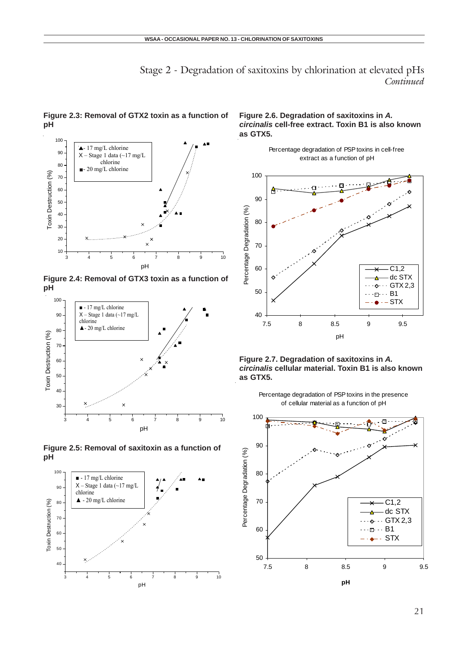

**Figure 2.3: Removal of GTX2 toxin as a function of pH**

**Figure 2.4: Removal of GTX3 toxin as a function of pH**







#### **Figure 2.6. Degradation of saxitoxins in** *A. circinalis* **cell-free extract. Toxin B1 is also known as GTX5.**







Percentage degradation of PSP toxins in the presence of cellular material as a function of pH

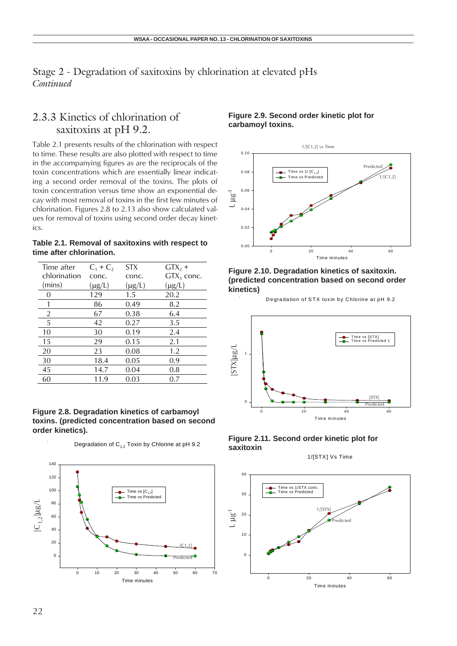### 2.3.3 Kinetics of chlorination of saxitoxins at pH 9.2.

Table 2.1 presents results of the chlorination with respect to time. These results are also plotted with respect to time in the accompanying figures as are the reciprocals of the toxin concentrations which are essentially linear indicating a second order removal of the toxins. The plots of toxin concentration versus time show an exponential decay with most removal of toxins in the first few minutes of chlorination. Figures 2.8 to 2.13 also show calculated values for removal of toxins using second order decay kinetics.

**Table 2.1. Removal of saxitoxins with respect to time after chlorination.**

| Time after   | $C_1 + C_2$ | <b>STX</b>  | $GTX_2 +$    |
|--------------|-------------|-------------|--------------|
| chlorination | conc.       | conc.       | $GTX3$ conc. |
| (mins)       | $(\mu g/L)$ | $(\mu g/L)$ | $(\mu g/L)$  |
| 0            | 129         | 1.5         | 20.2         |
| 1            | 86          | 0.49        | 8.2          |
| 2            | 67          | 0.38        | 6.4          |
| 5            | 42          | 0.27        | 3.5          |
| 10           | 30          | 0.19        | 2.4          |
| 15           | 29          | 0.15        | 2.1          |
| 20           | 23          | 0.08        | 1.2          |
| 30           | 18.4        | 0.05        | 0.9          |
| 45           | 14.7        | 0.04        | 0.8          |
| 60           | 11.9        | 0.03        | 0.7          |

#### **Figure 2.8. Degradation kinetics of carbamoyl toxins. (predicted concentration based on second order kinetics).**

Degradation of  $C_{1,2}$  Toxin by Chlorine at pH 9.2



#### **Figure 2.9. Second order kinetic plot for carbamoyl toxins.**



#### **Figure 2.10. Degradation kinetics of saxitoxin. (predicted concentration based on second order kinetics)**

Degradation of STX toxin by Chlorine at pH 9.2



#### **Figure 2.11. Second order kinetic plot for saxitoxin**

1/[STX] Vs Time

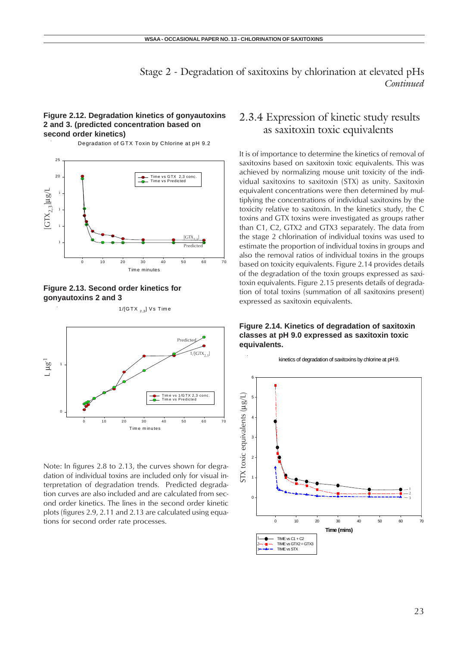#### **Figure 2.12. Degradation kinetics of gonyautoxins 2 and 3. (predicted concentration based on second order kinetics)**

Degradation of GTX Toxin by Chlorine at pH 9.2





Tim e m inutes 0 10 20 30 40 50 60 70 0 1 Tim e vs 1/G TX 2,3 conc. Tim e vs Predicted Predicted 1/[GTX2,3] L µg-1

1/[GTX  $_{2,3}$ ] Vs Time

Note: In figures 2.8 to 2.13, the curves shown for degradation of individual toxins are included only for visual interpretation of degradation trends. Predicted degradation curves are also included and are calculated from second order kinetics. The lines in the second order kinetic plots (figures 2.9, 2.11 and 2.13 are calculated using equations for second order rate processes.

### 2.3.4 Expression of kinetic study results as saxitoxin toxic equivalents

It is of importance to determine the kinetics of removal of saxitoxins based on saxitoxin toxic equivalents. This was achieved by normalizing mouse unit toxicity of the individual saxitoxins to saxitoxin (STX) as unity. Saxitoxin equivalent concentrations were then determined by multiplying the concentrations of individual saxitoxins by the toxicity relative to saxitoxin. In the kinetics study, the C toxins and GTX toxins were investigated as groups rather than C1, C2, GTX2 and GTX3 separately. The data from the stage 2 chlorination of individual toxins was used to estimate the proportion of individual toxins in groups and also the removal ratios of individual toxins in the groups based on toxicity equivalents. Figure 2.14 provides details of the degradation of the toxin groups expressed as saxitoxin equivalents. Figure 2.15 presents details of degradation of total toxins (summation of all saxitoxins present) expressed as saxitoxin equivalents.

#### **Figure 2.14. Kinetics of degradation of saxitoxin classes at pH 9.0 expressed as saxitoxin toxic equivalents.**

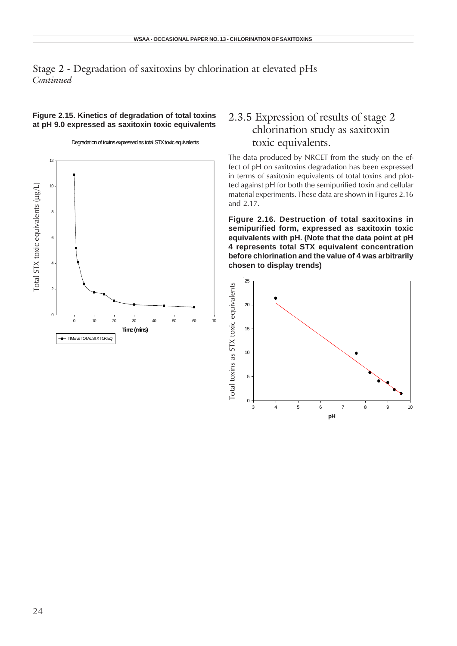#### **Figure 2.15. Kinetics of degradation of total toxins at pH 9.0 expressed as saxitoxin toxic equivalents**

Degradation of toxins expressed as total STX toxic equivalents **Time (mins)** 0 10 20 30 40 50 60 70  $\Omega$ 2 4 6 8 10 12 **TIME** vs TOTAL STX TOX EQ Total STX toxic equivalents ( Total STX toxic equivalents ( $\mu$ g/L)

### 2.3.5 Expression of results of stage 2 chlorination study as saxitoxin toxic equivalents.

The data produced by NRCET from the study on the effect of pH on saxitoxins degradation has been expressed in terms of saxitoxin equivalents of total toxins and plotted against pH for both the semipurified toxin and cellular material experiments. These data are shown in Figures 2.16 and 2.17.

**Figure 2.16. Destruction of total saxitoxins in semipurified form, expressed as saxitoxin toxic equivalents with pH. (Note that the data point at pH 4 represents total STX equivalent concentration before chlorination and the value of 4 was arbitrarily chosen to display trends)**

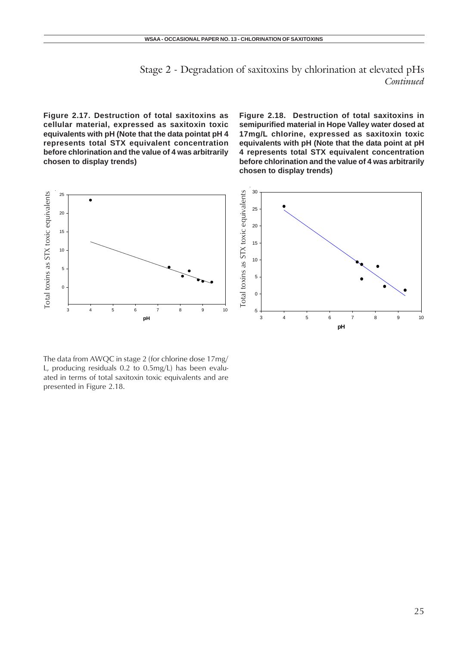**Figure 2.17. Destruction of total saxitoxins as cellular material, expressed as saxitoxin toxic equivalents with pH (Note that the data pointat pH 4 represents total STX equivalent concentration before chlorination and the value of 4 was arbitrarily chosen to display trends)**

**Figure 2.18. Destruction of total saxitoxins in semipurified material in Hope Valley water dosed at 17mg/L chlorine, expressed as saxitoxin toxic equivalents with pH (Note that the data point at pH 4 represents total STX equivalent concentration before chlorination and the value of 4 was arbitrarily chosen to display trends)**



The data from AWQC in stage 2 (for chlorine dose 17mg/ L, producing residuals 0.2 to 0.5mg/L) has been evaluated in terms of total saxitoxin toxic equivalents and are presented in Figure 2.18.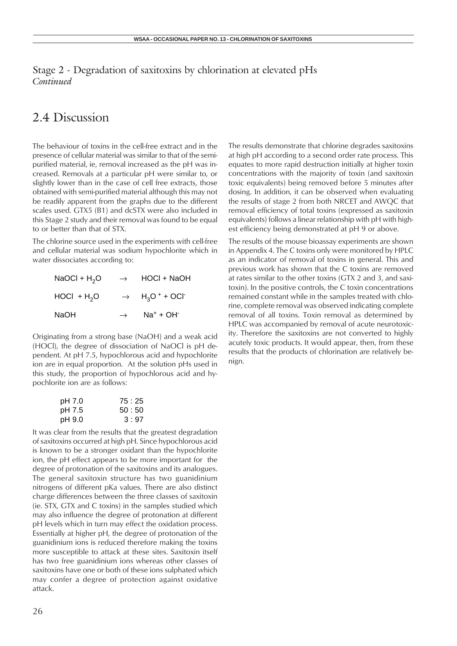## 2.4 Discussion

The behaviour of toxins in the cell-free extract and in the presence of cellular material was similar to that of the semipurified material, ie, removal increased as the pH was increased. Removals at a particular pH were similar to, or slightly lower than in the case of cell free extracts, those obtained with semi-purified material although this may not be readily apparent from the graphs due to the different scales used. GTX5 (B1) and dcSTX were also included in this Stage 2 study and their removal was found to be equal to or better than that of STX.

The chlorine source used in the experiments with cell-free and cellular material was sodium hypochlorite which in water dissociates according to:

| NaOCI + $H_2O$ | $\rightarrow$ | HOCI + NaOH                                                    |
|----------------|---------------|----------------------------------------------------------------|
| $HOCI + H2O$   |               | $\rightarrow$ H <sub>3</sub> O <sup>+</sup> + OCI <sup>-</sup> |
| NaOH           | $\rightarrow$ | $Na^+ + OH^-$                                                  |

Originating from a strong base (NaOH) and a weak acid (HOCl), the degree of dissociation of NaOCl is pH dependent. At pH 7.5, hypochlorous acid and hypochlorite ion are in equal proportion. At the solution pHs used in this study, the proportion of hypochlorous acid and hypochlorite ion are as follows:

| pH 7.0 | 75:25 |
|--------|-------|
| pH 7.5 | 50:50 |
| pH 9.0 | 3:97  |

It was clear from the results that the greatest degradation of saxitoxins occurred at high pH. Since hypochlorous acid is known to be a stronger oxidant than the hypochlorite ion, the pH effect appears to be more important for the degree of protonation of the saxitoxins and its analogues. The general saxitoxin structure has two guanidinium nitrogens of different pKa values. There are also distinct charge differences between the three classes of saxitoxin (ie. STX, GTX and C toxins) in the samples studied which may also influence the degree of protonation at different pH levels which in turn may effect the oxidation process. Essentially at higher pH, the degree of protonation of the guanidinium ions is reduced therefore making the toxins more susceptible to attack at these sites. Saxitoxin itself has two free guanidinium ions whereas other classes of saxitoxins have one or both of these ions sulphated which may confer a degree of protection against oxidative attack.

The results demonstrate that chlorine degrades saxitoxins at high pH according to a second order rate process. This equates to more rapid destruction initially at higher toxin concentrations with the majority of toxin (and saxitoxin toxic equivalents) being removed before 5 minutes after dosing. In addition, it can be observed when evaluating the results of stage 2 from both NRCET and AWQC that removal efficiency of total toxins (expressed as saxitoxin equivalents) follows a linear relationship with pH with highest efficiency being demonstrated at pH 9 or above.

The results of the mouse bioassay experiments are shown in Appendix 4. The C toxins only were monitored by HPLC as an indicator of removal of toxins in general. This and previous work has shown that the C toxins are removed at rates similar to the other toxins (GTX 2 and 3, and saxitoxin). In the positive controls, the C toxin concentrations remained constant while in the samples treated with chlorine, complete removal was observed indicating complete removal of all toxins. Toxin removal as determined by HPLC was accompanied by removal of acute neurotoxicity. Therefore the saxitoxins are not converted to highly acutely toxic products. It would appear, then, from these results that the products of chlorination are relatively benign.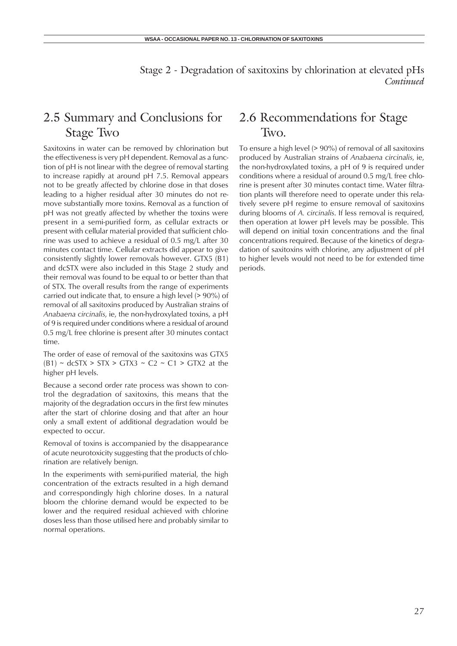## 2.5 Summary and Conclusions for Stage Two

Saxitoxins in water can be removed by chlorination but the effectiveness is very pH dependent. Removal as a function of pH is not linear with the degree of removal starting to increase rapidly at around pH 7.5. Removal appears not to be greatly affected by chlorine dose in that doses leading to a higher residual after 30 minutes do not remove substantially more toxins. Removal as a function of pH was not greatly affected by whether the toxins were present in a semi-purified form, as cellular extracts or present with cellular material provided that sufficient chlorine was used to achieve a residual of 0.5 mg/L after 30 minutes contact time. Cellular extracts did appear to give consistently slightly lower removals however. GTX5 (B1) and dcSTX were also included in this Stage 2 study and their removal was found to be equal to or better than that of STX. The overall results from the range of experiments carried out indicate that, to ensure a high level (> 90%) of removal of all saxitoxins produced by Australian strains of *Anabaena circinalis*, ie, the non-hydroxylated toxins, a pH of 9 is required under conditions where a residual of around 0.5 mg/L free chlorine is present after 30 minutes contact time.

The order of ease of removal of the saxitoxins was GTX5  $(B1) \sim$  dcSTX > STX > GTX3  $\sim$  C2  $\sim$  C1 > GTX2 at the higher pH levels.

Because a second order rate process was shown to control the degradation of saxitoxins, this means that the majority of the degradation occurs in the first few minutes after the start of chlorine dosing and that after an hour only a small extent of additional degradation would be expected to occur.

Removal of toxins is accompanied by the disappearance of acute neurotoxicity suggesting that the products of chlorination are relatively benign.

In the experiments with semi-purified material, the high concentration of the extracts resulted in a high demand and correspondingly high chlorine doses. In a natural bloom the chlorine demand would be expected to be lower and the required residual achieved with chlorine doses less than those utilised here and probably similar to normal operations.

## 2.6 Recommendations for Stage Two.

To ensure a high level (> 90%) of removal of all saxitoxins produced by Australian strains of *Anabaena circinalis*, ie, the non-hydroxylated toxins, a pH of 9 is required under conditions where a residual of around 0.5 mg/L free chlorine is present after 30 minutes contact time. Water filtration plants will therefore need to operate under this relatively severe pH regime to ensure removal of saxitoxins during blooms of *A. circinalis*. If less removal is required, then operation at lower pH levels may be possible. This will depend on initial toxin concentrations and the final concentrations required. Because of the kinetics of degradation of saxitoxins with chlorine, any adjustment of pH to higher levels would not need to be for extended time periods.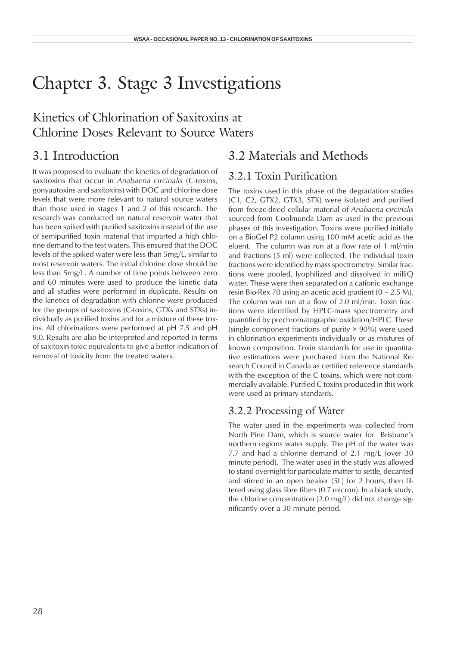## Chapter 3. Stage 3 Investigations

## Kinetics of Chlorination of Saxitoxins at Chlorine Doses Relevant to Source Waters

## 3.1 Introduction

It was proposed to evaluate the kinetics of degradation of saxitoxins that occur in *Anabaena circinalis* (C-toxins, gonyautoxins and saxitoxins) with DOC and chlorine dose levels that were more relevant to natural source waters than those used in stages 1 and 2 of this research. The research was conducted on natural reservoir water that has been spiked with purified saxitoxins instead of the use of semipurified toxin material that imparted a high chlorine demand to the test waters. This ensured that the DOC levels of the spiked water were less than 5mg/L, similar to most reservoir waters. The initial chlorine dose should be less than 5mg/L. A number of time points between zero and 60 minutes were used to produce the kinetic data and all studies were performed in duplicate. Results on the kinetics of degradation with chlorine were produced for the groups of saxitoxins (C-toxins, GTXs and STXs) individually as purified toxins and for a mixture of these toxins. All chlorinations were performed at pH 7.5 and pH 9.0. Results are also be interpreted and reported in terms of saxitoxin toxic equivalents to give a better indication of removal of toxicity from the treated waters.

## 3.2 Materials and Methods

## 3.2.1 Toxin Purification

The toxins used in this phase of the degradation studies (C1, C2, GTX2, GTX3, STX) were isolated and purified from freeze-dried cellular material of *Anabaena circinalis* sourced from Coolmunda Dam as used in the previous phases of this investigation. Toxins were purified initially on a BioGel P2 column using 100 mM acetic acid as the eluent. The column was run at a flow rate of 1 ml/min and fractions (5 ml) were collected. The individual toxin fractions were identified by mass spectrometry. Similar fractions were pooled, lyophilized and dissolved in milliQ water. These were then separated on a cationic exchange resin Bio-Rex 70 using an acetic acid gradient (0 – 2.5 M). The column was run at a flow of 2.0 ml/min. Toxin fractions were identified by HPLC-mass spectrometry and quantified by prechromatographic oxidation/HPLC. These (single component fractions of purity > 90%) were used in chlorination experiments individually or as mixtures of known composition. Toxin standards for use in quantitative estimations were purchased from the National Research Council in Canada as certified reference standards with the exception of the C toxins, which were not commercially available. Purified C toxins produced in this work were used as primary standards.

### 3.2.2 Processing of Water

The water used in the experiments was collected from North Pine Dam, which is source water for Brisbane's northern regions water supply. The pH of the water was 7.7 and had a chlorine demand of 2.1 mg/L (over 30 minute period). The water used in the study was allowed to stand overnight for particulate matter to settle, decanted and stirred in an open beaker (5L) for 2 hours, then filtered using glass fibre filters (0.7 micron). In a blank study, the chlorine concentration (2.0 mg/L) did not change significantly over a 30 minute period.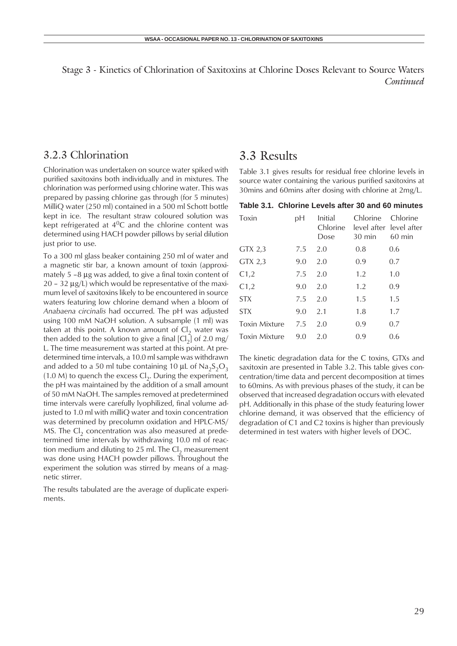#### 3.2.3 Chlorination

Chlorination was undertaken on source water spiked with purified saxitoxins both individually and in mixtures. The chlorination was performed using chlorine water. This was prepared by passing chlorine gas through (for 5 minutes) MilliQ water (250 ml) contained in a 500 ml Schott bottle kept in ice. The resultant straw coloured solution was kept refrigerated at  $4^0C$  and the chlorine content was determined using HACH powder pillows by serial dilution just prior to use.

To a 300 ml glass beaker containing 250 ml of water and a magnetic stir bar, a known amount of toxin (approximately 5 –8 µg was added, to give a final toxin content of  $20 - 32 \mu g/L$ ) which would be representative of the maximum level of saxitoxins likely to be encountered in source waters featuring low chlorine demand when a bloom of *Anabaena circinalis* had occurred. The pH was adjusted using 100 mM NaOH solution. A subsample (1 ml) was taken at this point. A known amount of  $Cl<sub>2</sub>$  water was then added to the solution to give a final  $\left[CI_{2}\right]$  of 2.0 mg/ L. The time measurement was started at this point. At predetermined time intervals, a 10.0 ml sample was withdrawn and added to a 50 ml tube containing 10  $\mu$ L of Na<sub>2</sub>S<sub>2</sub>O<sub>3</sub> (1.0 M) to quench the excess  $Cl_2$ . During the experiment, the pH was maintained by the addition of a small amount of 50 mM NaOH. The samples removed at predetermined time intervals were carefully lyophilized, final volume adjusted to 1.0 ml with milliQ water and toxin concentration was determined by precolumn oxidation and HPLC-MS/ MS. The Cl<sub>2</sub> concentration was also measured at predetermined time intervals by withdrawing 10.0 ml of reaction medium and diluting to 25 ml. The  $Cl<sub>2</sub>$  measurement was done using HACH powder pillows. Throughout the experiment the solution was stirred by means of a magnetic stirrer.

The results tabulated are the average of duplicate experiments.

### 3.3 Results

Table 3.1 gives results for residual free chlorine levels in source water containing the various purified saxitoxins at 30mins and 60mins after dosing with chlorine at 2mg/L.

#### **Table 3.1. Chlorine Levels after 30 and 60 minutes**

| Toxin                | рH  | Initial<br>Chlorine<br>Dose | Chlorine<br>30 min | Chlorine<br>level after level after<br>60 min |
|----------------------|-----|-----------------------------|--------------------|-----------------------------------------------|
| GTX 2,3              | 7.5 | 2.0                         | 0.8                | 0.6                                           |
| GTX 2,3              | 9.0 | 2.0                         | 0.9                | 0.7                                           |
| C1,2                 | 7.5 | 2.0                         | 1.2                | 1.0                                           |
| C1,2                 | 9.0 | 2.0                         | 1.2                | 0.9                                           |
| <b>STX</b>           | 7.5 | 2.0                         | 1.5                | 1.5                                           |
| <b>STX</b>           | 9.0 | 2.1                         | 1.8                | 1.7                                           |
| <b>Toxin Mixture</b> | 7.5 | 2.0                         | 0.9                | 0.7                                           |
| <b>Toxin Mixture</b> | 9.0 | 2.0                         | 0.9                | 0.6                                           |

The kinetic degradation data for the C toxins, GTXs and saxitoxin are presented in Table 3.2. This table gives concentration/time data and percent decomposition at times to 60mins. As with previous phases of the study, it can be observed that increased degradation occurs with elevated pH. Additionally in this phase of the study featuring lower chlorine demand, it was observed that the efficiency of degradation of C1 and C2 toxins is higher than previously determined in test waters with higher levels of DOC.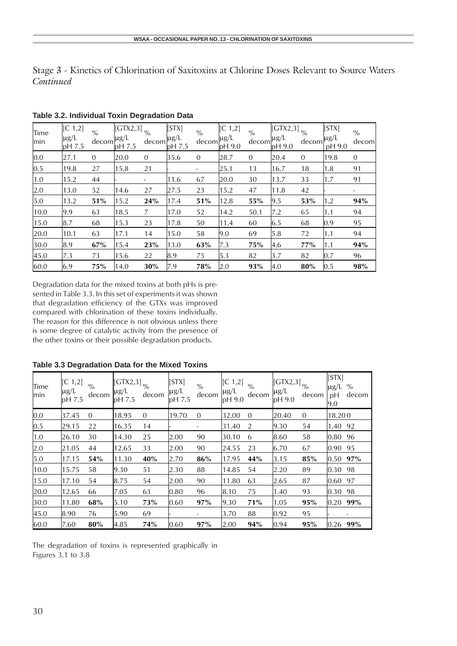| Time<br>min | [C 1,2]<br>$\mu$ g/L<br>pH 7.5 | $\sqrt[0]{\!0}$ | $\overline{\text{[GTX2,3]}}_{\frac{0}{6}}$<br>$\frac{\text{deg}}{\text{decom}}$ $\mu$ g/L $\frac{\text{deg}}{\text{decom}}$<br>pH 7.5 |                | [STX]<br>$\mu$ g/L<br>pH 7.5 | $\frac{0}{0}$<br>decom | [C 1,2]<br>$\mu$ g/L<br>pH 9.0 | $\%$<br>decom | $\overline{\text{IGTX2,3}}$ $\frac{1}{\%}$<br>$\mu$ g/L<br>pH 9.0 | decom          | [STX]<br>$\mu$ g/L<br>pH 9.0 | $\frac{0}{0}$<br>decom |
|-------------|--------------------------------|-----------------|---------------------------------------------------------------------------------------------------------------------------------------|----------------|------------------------------|------------------------|--------------------------------|---------------|-------------------------------------------------------------------|----------------|------------------------------|------------------------|
| 0.0         | 27.1                           | $\Omega$        | 20.0                                                                                                                                  | $\Omega$       | 35.6                         | $\mathbf{0}$           | 28.7                           | $\mathbf 0$   | 20.4                                                              | $\overline{0}$ | 19.8                         | $\mathbf{0}$           |
| 0.5         | 19.8                           | 27              | 15.8                                                                                                                                  | 21             |                              | ۰                      | 25.1                           | 13            | 16.7                                                              | 18             | 1.8                          | 91                     |
| 1.0         | 15.2                           | 44              |                                                                                                                                       | $\blacksquare$ | 11.6                         | 67                     | 20.0                           | 30            | 13.7                                                              | 33             | 1.7                          | 91                     |
| 2.0         | 13.0                           | 52              | 14.6                                                                                                                                  | 27             | 27.5                         | 23                     | 15.2                           | 47            | 11.8                                                              | 42             |                              | -                      |
| 5.0         | 13.2                           | 51%             | 15.2                                                                                                                                  | 24%            | 17.4                         | 51%                    | 12.8                           | 55%           | 9.5                                                               | 53%            | 1.2                          | 94%                    |
| 10.0        | 9.9                            | 63              | 18.5                                                                                                                                  | 7              | 17.0                         | 52                     | 14.2                           | 50.1          | 7.2                                                               | 65             | 1.1                          | 94                     |
| 15.0        | 8.7                            | 68              | 15.3                                                                                                                                  | 23             | 17.8                         | 50                     | 11.4                           | 60            | 6.5                                                               | 68             | 0.9                          | 95                     |
| 20.0        | 10.1                           | 63              | 17.1                                                                                                                                  | 14             | 15.0                         | 58                     | 9.0                            | 69            | 5.8                                                               | 72             | 1.1                          | 94                     |
| 30.0        | 8.9                            | 67%             | 15.4                                                                                                                                  | 23%            | 13.0                         | 63%                    | 7.3                            | 75%           | 4.6                                                               | 77%            | 1.1                          | 94%                    |
| 45.0        | 7.3                            | 73              | 15.6                                                                                                                                  | 22             | 8.9                          | 75                     | 5.3                            | 82            | 3.7                                                               | 82             | 0.7                          | 96                     |
| 60.0        | 6.9                            | 75%             | 14.0                                                                                                                                  | 30%            | 7.9                          | 78%                    | 2.0                            | 93%           | 4.0                                                               | 80%            | 0.5                          | 98%                    |

**Table 3.2. Individual Toxin Degradation Data**

Degradation data for the mixed toxins at both pHs is presented in Table 3.3. In this set of experiments it was shown that degradation efficiency of the GTXs was improved compared with chlorination of these toxins individually. The reason for this difference is not obvious unless there is some degree of catalytic activity from the presence of the other toxins or their possible degradation products.

| Time<br>min | [C 1,2]<br>$\mu$ g/L<br>pH 7.5 | $\%$<br>decom | $\llbracket \mathsf{GTX2,3} \rrbracket_{\substack{\text{o}_{\text{O}}}}$<br>$\mu$ g/L<br>pH 7.5 | decom    | [STX]<br>$\mu$ g/L<br>pH 7.5 | $\%$<br>decom | [C 1,2]<br>$\mu$ g/L<br>pH 9.0 | $\frac{0}{0}$<br>decom | $\left\Vert \text{GTX2,3}\right\Vert _{\text{0/6}}$<br>$\mu$ g/L<br>pH 9.0 | decom        | [STX]<br>$\mu$ g/L<br>рH<br>9.0 | $\%$<br>decom |
|-------------|--------------------------------|---------------|-------------------------------------------------------------------------------------------------|----------|------------------------------|---------------|--------------------------------|------------------------|----------------------------------------------------------------------------|--------------|---------------------------------|---------------|
| 0.0         | 37.45                          | $\Omega$      | 18.95                                                                                           | $\Omega$ | 19.70                        | $\Omega$      | 32.00                          | $\Omega$               | 20.40                                                                      | $\mathbf{0}$ | 18.200                          |               |
| 0.5         | 29.15                          | 22            | 16.35                                                                                           | 14       |                              | -             | 31.40                          | 2                      | 9.30                                                                       | 54           | 1.40 92                         |               |
| 1.0         | 26.10                          | 30            | 14.30                                                                                           | 25       | 2.00                         | 90            | 30.10                          | 6                      | 8.60                                                                       | 58           | 0.80                            | 96            |
| 2.0         | 21.05                          | 44            | 12.65                                                                                           | 33       | 2.00                         | 90            | 24.55                          | 23                     | 6.70                                                                       | 67           | 0.90 95                         |               |
| 5.0         | 17.15                          | 54%           | 11.30                                                                                           | 40%      | 2.70                         | 86%           | 17.95                          | 44%                    | 3.15                                                                       | 85%          | 0.50 97%                        |               |
| 10.0        | 15.75                          | 58            | 9.30                                                                                            | 51       | 2.30                         | 88            | 14.85                          | 54                     | 2.20                                                                       | 89           | 0.30                            | 98            |
| 15.0        | 17.10                          | 54            | 8.75                                                                                            | 54       | 2.00                         | 90            | 11.80                          | 63                     | 2.65                                                                       | 87           | 0.60 97                         |               |
| 20.0        | 12.65                          | 66            | 7.05                                                                                            | 63       | 0.80                         | 96            | 8.10                           | 75                     | 1.40                                                                       | 93           | 0.30                            | 98            |
| 30.0        | 11.80                          | 68%           | 5.10                                                                                            | 73%      | 0.60                         | 97%           | 9.30                           | 71%                    | 1.05                                                                       | 95%          | 0.20                            | 99%           |
| 45.0        | 8.90                           | 76            | 5.90                                                                                            | 69       |                              |               | 3.70                           | 88                     | 0.92                                                                       | 95           |                                 |               |
| 60.0        | 7.60                           | 80%           | 4.85                                                                                            | 74%      | 0.60                         | 97%           | 2.00                           | 94%                    | 0.94                                                                       | 95%          | 0.26                            | 99%           |

**Table 3.3 Degradation Data for the Mixed Toxins**

The degradation of toxins is represented graphically in Figures 3.1 to 3.8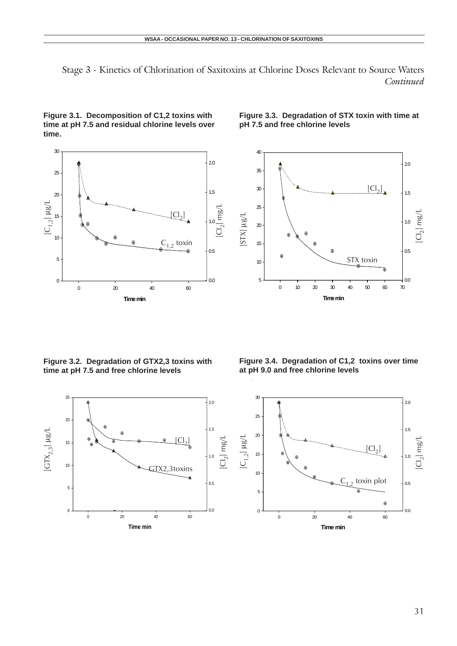

**Figure 3.1. Decomposition of C1,2 toxins with time at pH 7.5 and residual chlorine levels over time.**

**Figure 3.3. Degradation of STX toxin with time at pH 7.5 and free chlorine levels**



**Figure 3.2. Degradation of GTX2,3 toxins with time at pH 7.5 and free chlorine levels**

**Figure 3.4. Degradation of C1,2 toxins over time at pH 9.0 and free chlorine levels**



l.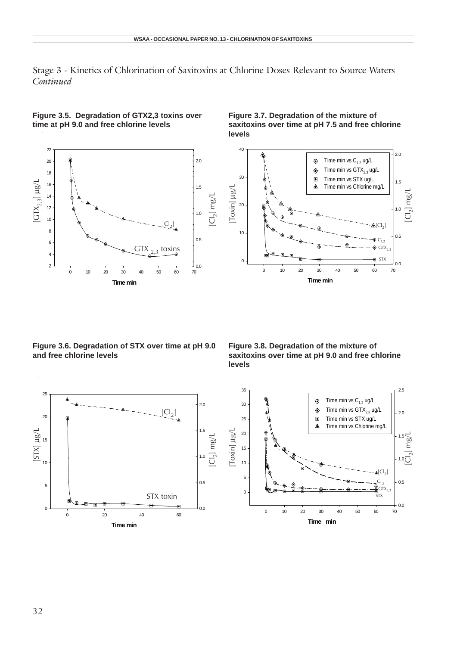



**Figure 3.7. Degradation of the mixture of saxitoxins over time at pH 7.5 and free chlorine levels**



**Figure 3.6. Degradation of STX over time at pH 9.0 and free chlorine levels**

**Figure 3.8. Degradation of the mixture of saxitoxins over time at pH 9.0 and free chlorine levels**

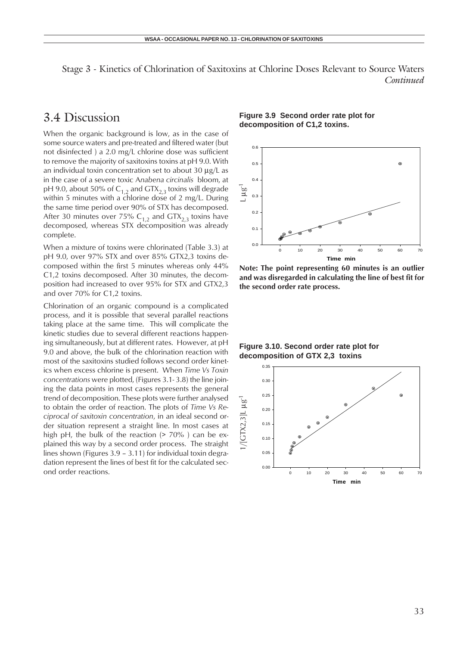## 3.4 Discussion

When the organic background is low, as in the case of some source waters and pre-treated and filtered water (but not disinfected ) a 2.0 mg/L chlorine dose was sufficient to remove the majority of saxitoxins toxins at pH 9.0. With an individual toxin concentration set to about 30  $\mu$ g/L as in the case of a severe toxic A*nabena circinalis* bloom, at pH 9.0, about 50% of  $C_{1,2}$  and  $GTX_{2,3}$  toxins will degrade within 5 minutes with a chlorine dose of 2 mg/L. During the same time period over 90% of STX has decomposed. After 30 minutes over 75%  $C_{1,2}$  and  $GTX_{2,3}$  toxins have decomposed, whereas STX decomposition was already complete.

When a mixture of toxins were chlorinated (Table 3.3) at pH 9.0, over 97% STX and over 85% GTX2,3 toxins decomposed within the first 5 minutes whereas only 44% C1,2 toxins decomposed. After 30 minutes, the decomposition had increased to over 95% for STX and GTX2,3 and over 70% for C1,2 toxins.

Chlorination of an organic compound is a complicated process, and it is possible that several parallel reactions taking place at the same time. This will complicate the kinetic studies due to several different reactions happening simultaneously, but at different rates. However, at pH 9.0 and above, the bulk of the chlorination reaction with most of the saxitoxins studied follows second order kinetics when excess chlorine is present. When *Time Vs Toxin concentrations* were plotted, (Figures 3.1- 3.8) the line joining the data points in most cases represents the general trend of decomposition. These plots were further analysed to obtain the order of reaction. The plots of *Time Vs Reciprocal of saxitoxin concentration*, in an ideal second order situation represent a straight line. In most cases at high pH, the bulk of the reaction  $(> 70\%)$  can be explained this way by a second order process. The straight lines shown (Figures 3.9 – 3.11) for individual toxin degradation represent the lines of best fit for the calculated second order reactions.

**Figure 3.9 Second order rate plot for decomposition of C1,2 toxins.**



**Note: The point representing 60 minutes is an outlier and was disregarded in calculating the line of best fit for the second order rate process.**

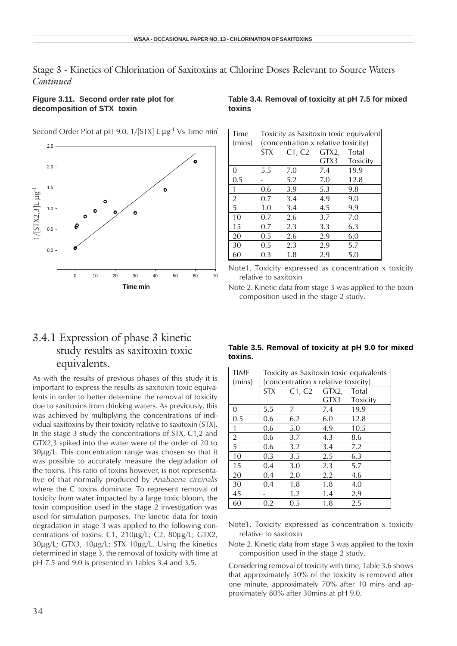#### **Figure 3.11. Second order rate plot for decomposition of STX toxin**

Second Order Plot at pH 9.0,  $1/[STX] L \mu g^{-1} Vs$  Time min



#### **Table 3.4. Removal of toxicity at pH 7.5 for mixed toxins**

| Time<br>(mins) | Toxicity as Saxitoxin toxic equivalent.<br>(concentration x relative toxicity) |                   |      |          |
|----------------|--------------------------------------------------------------------------------|-------------------|------|----------|
|                | <b>STX</b>                                                                     | $C1, C2$ $GTX2$ , |      | Total    |
|                |                                                                                |                   | GTX3 | Toxicity |
| 0              | 5.5                                                                            | 7.0               | 7.4  | 19.9     |
| 0.5            |                                                                                | 5.2               | 7.0  | 12.8     |
| 1              | 0.6                                                                            | 3.9               | 5.3  | 9.8      |
| $\overline{2}$ | 0.7                                                                            | 3.4               | 4.9  | 9.0      |
| 5              | 1.0                                                                            | 3.4               | 4.5  | 9.9      |
| 10             | 0.7                                                                            | 2.6               | 3.7  | 7.0      |
| 15             | 0.7                                                                            | 2.3               | 3.3  | 6.3      |
| 20             | 0.5                                                                            | 2.6               | 2.9  | 6.0      |
| 30             | 0.5                                                                            | 2.3               | 2.9  | 5.7      |
| 60             | 0.3                                                                            | 1.8               | 2.9  | 5.0      |

Note1. Toxicity expressed as concentration x toxicity relative to saxitoxin

Note 2. Kinetic data from stage 3 was applied to the toxin composition used in the stage 2 study.

### 3.4.1 Expression of phase 3 kinetic study results as saxitoxin toxic equivalents.

As with the results of previous phases of this study it is important to express the results as saxitoxin toxic equivalents in order to better determine the removal of toxicity due to saxitoxins from drinking waters. As previously, this was achieved by multiplying the concentrations of individual saxitoxins by their toxicity relative to saxitoxin (STX). In the stage 3 study the concentrations of STX, C1,2 and GTX2,3 spiked into the water were of the order of 20 to 30µg/L. This concentration range was chosen so that it was possible to accurately measure the degradation of the toxins. This ratio of toxins however, is not representative of that normally produced by *Anabaena circinalis* where the C toxins dominate. To represent removal of toxicity from water impacted by a large toxic bloom, the toxin composition used in the stage 2 investigation was used for simulation purposes. The kinetic data for toxin degradation in stage 3 was applied to the following concentrations of toxins: C1, 210µg/L; C2, 80µg/L; GTX2, 30µg/L; GTX3, 10µg/L; STX 10µg/L. Using the kinetics determined in stage 3, the removal of toxicity with time at pH 7.5 and 9.0 is presented in Tables 3.4 and 3.5.

#### **Table 3.5. Removal of toxicity at pH 9.0 for mixed toxins.**

| <b>TIME</b><br>(mins) | Toxicity as Saxitoxin toxic equivalents<br>(concentration x relative toxicity) |                   |      |          |  |
|-----------------------|--------------------------------------------------------------------------------|-------------------|------|----------|--|
|                       | <b>STX</b>                                                                     | $C1, C2$ $GTX2$ , |      | Total    |  |
|                       |                                                                                |                   | GTX3 | Toxicity |  |
| 0                     | 5.5                                                                            | 7                 | 7.4  | 19.9     |  |
| 0.5                   | 0.6                                                                            | 6.2               | 6.0  | 12.8     |  |
| 1                     | 0.6                                                                            | 5.0               | 4.9  | 10.5     |  |
| 2                     | 0.6                                                                            | 3.7               | 4.3  | 8.6      |  |
| 5                     | 0.6                                                                            | 3.2               | 3.4  | 7.2      |  |
| 10                    | 0.3                                                                            | 3.5               | 2.5  | 6.3      |  |
| 15                    | 0.4                                                                            | 3.0               | 2.3  | 5.7      |  |
| 20                    | 0.4                                                                            | 2.0               | 2.2  | 4.6      |  |
| 30                    | 0.4                                                                            | 1.8               | 1.8  | 4.0      |  |
| 45                    |                                                                                | 1.2               | 1.4  | 2.9      |  |
| 60                    | 0.2                                                                            | 0.5               | 1.8  | 2.5      |  |

Note1. Toxicity expressed as concentration x toxicity relative to saxitoxin

Note 2. Kinetic data from stage 3 was applied to the toxin composition used in the stage 2 study.

Considering removal of toxicity with time, Table 3.6 shows that approximately 50% of the toxicity is removed after one minute, approximately 70% after 10 mins and approximately 80% after 30mins at pH 9.0.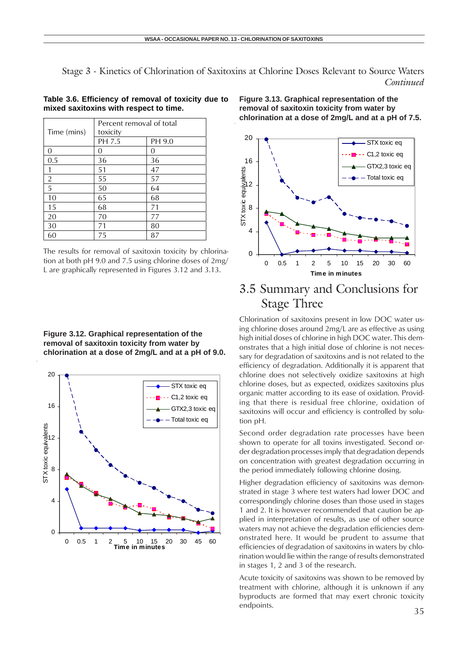#### **Table 3.6. Efficiency of removal of toxicity due to mixed saxitoxins with respect to time.**

|                | Percent removal of total |        |  |  |
|----------------|--------------------------|--------|--|--|
| Time (mins)    | toxicity                 |        |  |  |
|                | PH 7.5                   | PH 9.0 |  |  |
| $\Omega$       | Ω                        | 0      |  |  |
| 0.5            | 36                       | 36     |  |  |
| 1              | 51                       | 47     |  |  |
| $\overline{2}$ | 55                       | 57     |  |  |
| 5              | 50                       | 64     |  |  |
| 10             | 65                       | 68     |  |  |
| 15             | 68                       | 71     |  |  |
| 20             | 70                       | 77     |  |  |
| 30             | 71                       | 80     |  |  |
| 60             | 75                       | 87     |  |  |

The results for removal of saxitoxin toxicity by chlorination at both pH 9.0 and 7.5 using chlorine doses of 2mg/ L are graphically represented in Figures 3.12 and 3.13.

**Figure 3.12. Graphical representation of the removal of saxitoxin toxicity from water by chlorination at a dose of 2mg/L and at a pH of 9.0.**



**Figure 3.13. Graphical representation of the removal of saxitoxin toxicity from water by chlorination at a dose of 2mg/L and at a pH of 7.5.**



## 3.5 Summary and Conclusions for Stage Three

Chlorination of saxitoxins present in low DOC water using chlorine doses around 2mg/L are as effective as using high initial doses of chlorine in high DOC water. This demonstrates that a high initial dose of chlorine is not necessary for degradation of saxitoxins and is not related to the efficiency of degradation. Additionally it is apparent that chlorine does not selectively oxidize saxitoxins at high chlorine doses, but as expected, oxidizes saxitoxins plus organic matter according to its ease of oxidation. Providing that there is residual free chlorine, oxidation of saxitoxins will occur and efficiency is controlled by solution pH.

Second order degradation rate processes have been shown to operate for all toxins investigated. Second order degradation processes imply that degradation depends on concentration with greatest degradation occurring in the period immediately following chlorine dosing.

Higher degradation efficiency of saxitoxins was demonstrated in stage 3 where test waters had lower DOC and correspondingly chlorine doses than those used in stages 1 and 2. It is however recommended that caution be applied in interpretation of results, as use of other source waters may not achieve the degradation efficiencies demonstrated here. It would be prudent to assume that efficiencies of degradation of saxitoxins in waters by chlorination would lie within the range of results demonstrated in stages 1, 2 and 3 of the research.

Acute toxicity of saxitoxins was shown to be removed by treatment with chlorine, although it is unknown if any byproducts are formed that may exert chronic toxicity endpoints.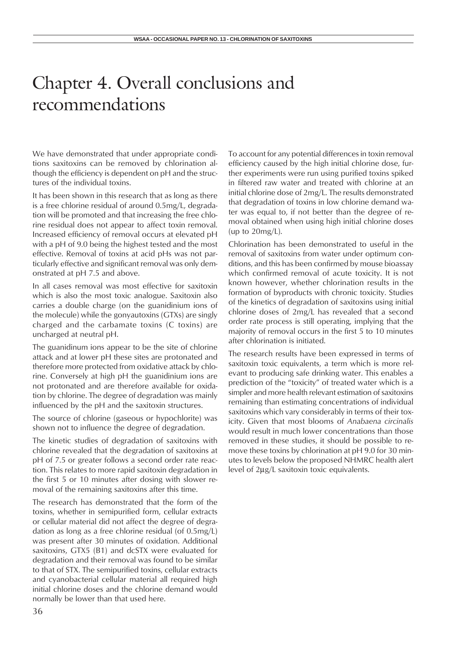## Chapter 4. Overall conclusions and recommendations

We have demonstrated that under appropriate conditions saxitoxins can be removed by chlorination although the efficiency is dependent on pH and the structures of the individual toxins.

It has been shown in this research that as long as there is a free chlorine residual of around 0.5mg/L, degradation will be promoted and that increasing the free chlorine residual does not appear to affect toxin removal. Increased efficiency of removal occurs at elevated pH with a pH of 9.0 being the highest tested and the most effective. Removal of toxins at acid pHs was not particularly effective and significant removal was only demonstrated at pH 7.5 and above.

In all cases removal was most effective for saxitoxin which is also the most toxic analogue. Saxitoxin also carries a double charge (on the guanidinium ions of the molecule) while the gonyautoxins (GTXs) are singly charged and the carbamate toxins (C toxins) are uncharged at neutral pH.

The guanidinum ions appear to be the site of chlorine attack and at lower pH these sites are protonated and therefore more protected from oxidative attack by chlorine. Conversely at high pH the guanidinium ions are not protonated and are therefore available for oxidation by chlorine. The degree of degradation was mainly influenced by the pH and the saxitoxin structures.

The source of chlorine (gaseous or hypochlorite) was shown not to influence the degree of degradation.

The kinetic studies of degradation of saxitoxins with chlorine revealed that the degradation of saxitoxins at pH of 7.5 or greater follows a second order rate reaction. This relates to more rapid saxitoxin degradation in the first 5 or 10 minutes after dosing with slower removal of the remaining saxitoxins after this time.

The research has demonstrated that the form of the toxins, whether in semipurified form, cellular extracts or cellular material did not affect the degree of degradation as long as a free chlorine residual (of 0.5mg/L) was present after 30 minutes of oxidation. Additional saxitoxins, GTX5 (B1) and dcSTX were evaluated for degradation and their removal was found to be similar to that of STX. The semipurified toxins, cellular extracts and cyanobacterial cellular material all required high initial chlorine doses and the chlorine demand would normally be lower than that used here.

To account for any potential differences in toxin removal efficiency caused by the high initial chlorine dose, further experiments were run using purified toxins spiked in filtered raw water and treated with chlorine at an initial chlorine dose of 2mg/L. The results demonstrated that degradation of toxins in low chlorine demand water was equal to, if not better than the degree of removal obtained when using high initial chlorine doses (up to  $20mg/L$ ).

Chlorination has been demonstrated to useful in the removal of saxitoxins from water under optimum conditions, and this has been confirmed by mouse bioassay which confirmed removal of acute toxicity. It is not known however, whether chlorination results in the formation of byproducts with chronic toxicity. Studies of the kinetics of degradation of saxitoxins using initial chlorine doses of 2mg/L has revealed that a second order rate process is still operating, implying that the majority of removal occurs in the first 5 to 10 minutes after chlorination is initiated.

The research results have been expressed in terms of saxitoxin toxic equivalents, a term which is more relevant to producing safe drinking water. This enables a prediction of the "toxicity" of treated water which is a simpler and more health relevant estimation of saxitoxins remaining than estimating concentrations of individual saxitoxins which vary considerably in terms of their toxicity. Given that most blooms of *Anabaena circinalis* would result in much lower concentrations than those removed in these studies, it should be possible to remove these toxins by chlorination at pH 9.0 for 30 minutes to levels below the proposed NHMRC health alert level of 2µg/L saxitoxin toxic equivalents.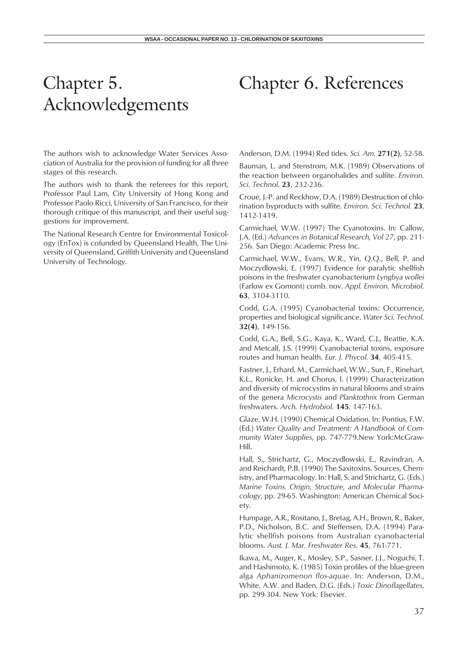# Chapter 5. Acknowledgements

The authors wish to acknowledge Water Services Association of Australia for the provision of funding for all three stages of this research.

The authors wish to thank the referees for this report, Professor Paul Lam, City University of Hong Kong and Professor Paolo Ricci, University of San Francisco, for their thorough critique of this manuscript, and their useful suggestions for improvement.

The National Research Centre for Environmental Toxicology (EnTox) is cofunded by Queensland Health, The University of Queensland, Griffith University and Queensland University of Technology.

## Chapter 6. References

Anderson, D.M. (1994) Red tides. *Sci. Am.* **271(2)**, 52-58.

Bauman, L. and Stenstrom, M.K. (1989) Observations of the reaction between organohalides and sulfite. *Environ. Sci. Technol.* **23**, 232-236.

Croue, J.-P. and Reckhow, D.A. (1989) Destruction of chlorination byproducts with sulfite. *Environ. Sci. Technol.* **23**, 1412-1419.

Carmichael, W.W. (1997) The Cyanotoxins. In: Callow, J.A. (Ed.) *Advances in Botanical Research, Vol 27*, pp. 211- 256. San Diego: Academic Press Inc.

Carmichael, W.W., Evans, W.R., Yin, Q.Q., Bell, P. and Moczydlowski, E. (1997) Evidence for paralytic shellfish poisons in the freshwater cyanobacterium *Lyngbya wollei* (Farlow ex Gomont) comb. nov. *Appl. Environ. Microbiol.* **63**, 3104-3110.

Codd, G.A. (1995) Cyanobacterial toxins: Occurrence, properties and biological significance. *Water Sci. Technol.* **32(4)**, 149-156.

Codd, G.A., Bell, S.G., Kaya, K., Ward, C.J., Beattie, K.A. and Metcalf, J.S. (1999) Cyanobacterial toxins, exposure routes and human health. *Eur. J. Phycol.* **34**, 405-415.

Fastner, J., Erhard, M., Carmichael, W.W., Sun, F., Rinehart, K.L., Ronicke, H. and Chorus, I. (1999) Characterization and diversity of microcystins in natural blooms and strains of the genera *Microcystis* and *Planktothrix* from German freshwaters. *Arch. Hydrobiol.* **145**, 147-163.

Glaze, W.H. (1990) Chemical Oxidation. In: Pontius, F.W. (Ed.) *Water Quality and Treatment: A Handbook of Community Water Supplies*, pp. 747-779.New York:McGraw-Hill.

Hall, S., Strichartz, G., Moczydlowski, E., Ravindran, A. and Reichardt, P.B. (1990) The Saxitoxins. Sources, Chemistry, and Pharmacology. In: Hall, S. and Strichartz, G. (Eds.) *Marine Toxins. Origin, Structure, and Molecular Pharmacology*, pp. 29-65. Washington: American Chemical Society.

Humpage, A.R., Rositano, J., Bretag, A.H., Brown, R., Baker, P.D., Nicholson, B.C. and Steffensen, D.A. (1994) Paralytic shellfish poisons from Australian cyanobacterial blooms. *Aust. J. Mar. Freshwater Res.* **45**, 761-771.

Ikawa, M., Auger, K., Mosley, S.P., Sasner, J.J., Noguchi, T. and Hashimoto, K. (1985) Toxin profiles of the blue-green alga *Aphanizomenon flos-aquae*. In: Anderson, D.M., White, A.W. and Baden, D.G. (Eds.) *Toxic Dinoflagellates*, pp. 299-304. New York: Elsevier.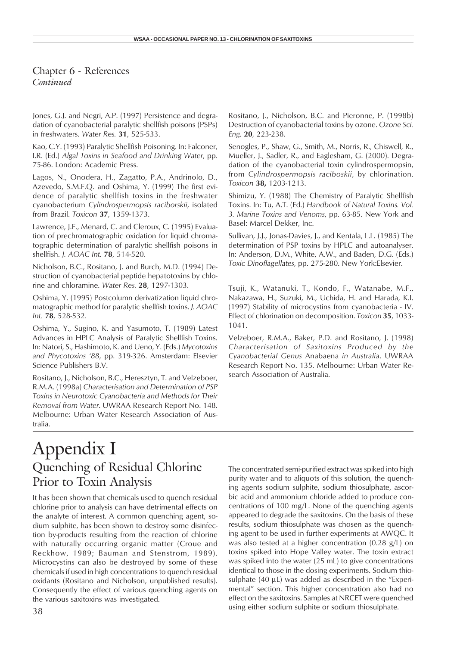Chapter 6 - References *Continued*

Jones, G.J. and Negri, A.P. (1997) Persistence and degradation of cyanobacterial paralytic shellfish poisons (PSPs) in freshwaters. *Water Res.* **31**, 525-533.

Kao, C.Y. (1993) Paralytic Shellfish Poisoning. In: Falconer, I.R. (Ed.) *Algal Toxins in Seafood and Drinking Water*, pp. 75-86. London: Academic Press.

Lagos, N., Onodera, H., Zagatto, P.A., Andrinolo, D., Azevedo, S.M.F.Q. and Oshima, Y. (1999) The first evidence of paralytic shellfish toxins in the freshwater cyanobacterium *Cylindrospermopsis raciborskii*, isolated from Brazil. *Toxicon* **37**, 1359-1373.

Lawrence, J.F., Menard, C. and Cleroux, C. (1995) Evaluation of prechromatographic oxidation for liquid chromatographic determination of paralytic shellfish poisons in shellfish. *J. AOAC Int.* **78**, 514-520.

Nicholson, B.C., Rositano, J. and Burch, M.D. (1994) Destruction of cyanobacterial peptide hepatotoxins by chlorine and chloramine. *Water Res.* **28**, 1297-1303.

Oshima, Y. (1995) Postcolumn derivatization liquid chromatographic method for paralytic shellfish toxins. *J. AOAC Int.* **78**, 528-532.

Oshima, Y., Sugino, K. and Yasumoto, T. (1989) Latest Advances in HPLC Analysis of Paralytic Shellfish Toxins. In: Natori, S., Hashimoto, K. and Ueno, Y. (Eds.) *Mycotoxins and Phycotoxins '88*, pp. 319-326. Amsterdam: Elsevier Science Publishers B.V.

Rositano, J., Nicholson, B.C., Heresztyn, T. and Velzeboer, R.M.A. (1998a) *Characterisation and Determination of PSP Toxins in Neurotoxic Cyanobacteria and Methods for Their Removal from Water*. UWRAA Research Report No. 148. Melbourne: Urban Water Research Association of Australia.

Rositano, J., Nicholson, B.C. and Pieronne, P. (1998b) Destruction of cyanobacterial toxins by ozone. *Ozone Sci. Eng.* **20**, 223-238.

Senogles, P., Shaw, G., Smith, M., Norris, R., Chiswell, R., Mueller, J., Sadler, R., and Eaglesham, G. (2000). Degradation of the cyanobacterial toxin cylindrospermopsin, from *Cylindrospermopsis raciboskii*, by chlorination. *Toxicon* **38,** 1203-1213.

Shimizu, Y. (1988) The Chemistry of Paralytic Shellfish Toxins. In: Tu, A.T. (Ed.) *Handbook of Natural Toxins. Vol. 3. Marine Toxins and Venoms*, pp. 63-85. New York and Basel: Marcel Dekker, Inc.

Sullivan, J.J., Jonas-Davies, J., and Kentala, L.L. (1985) The determination of PSP toxins by HPLC and autoanalyser. In: Anderson, D.M., White, A.W., and Baden, D.G. (Eds.) *Toxic Dinoflagellates*, pp. 275-280. New York:Elsevier.

Tsuji, K., Watanuki, T., Kondo, F., Watanabe, M.F., Nakazawa, H., Suzuki, M., Uchida, H. and Harada, K.I. (1997) Stability of microcystins from cyanobacteria - IV. Effect of chlorination on decomposition. *Toxicon* **35**, 1033- 1041.

Velzeboer, R.M.A., Baker, P.D. and Rositano, J. (1998) *Characterisation of Saxitoxins Produced by the Cyanobacterial Genus* Anabaena *in Australia*. UWRAA Research Report No. 135. Melbourne: Urban Water Research Association of Australia.

## Appendix I Quenching of Residual Chlorine Prior to Toxin Analysis

It has been shown that chemicals used to quench residual chlorine prior to analysis can have detrimental effects on the analyte of interest. A common quenching agent, sodium sulphite, has been shown to destroy some disinfection by-products resulting from the reaction of chlorine with naturally occurring organic matter (Croue and Reckhow, 1989; Bauman and Stenstrom, 1989). Microcystins can also be destroyed by some of these chemicals if used in high concentrations to quench residual oxidants (Rositano and Nicholson, unpublished results). Consequently the effect of various quenching agents on the various saxitoxins was investigated.

The concentrated semi-purified extract was spiked into high purity water and to aliquots of this solution, the quenching agents sodium sulphite, sodium thiosulphate, ascorbic acid and ammonium chloride added to produce concentrations of 100 mg/L. None of the quenching agents appeared to degrade the saxitoxins. On the basis of these results, sodium thiosulphate was chosen as the quenching agent to be used in further experiments at AWQC. It was also tested at a higher concentration (0.28 g/L) on toxins spiked into Hope Valley water. The toxin extract was spiked into the water (25 mL) to give concentrations identical to those in the dosing experiments. Sodium thiosulphate  $(40 \mu L)$  was added as described in the "Experimental" section. This higher concentration also had no effect on the saxitoxins. Samples at NRCET were quenched using either sodium sulphite or sodium thiosulphate.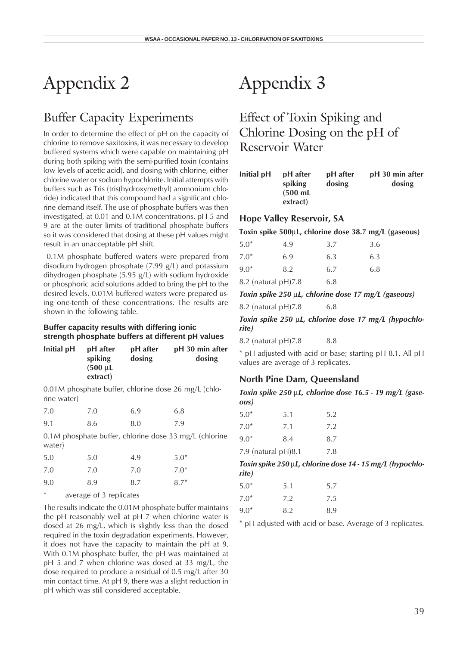## Buffer Capacity Experiments

In order to determine the effect of pH on the capacity of chlorine to remove saxitoxins, it was necessary to develop buffered systems which were capable on maintaining pH during both spiking with the semi-purified toxin (contains low levels of acetic acid), and dosing with chlorine, either chlorine water or sodium hypochlorite. Initial attempts with buffers such as Tris (tris(hydroxymethyl) ammonium chloride) indicated that this compound had a significant chlorine demand itself. The use of phosphate buffers was then investigated, at 0.01 and 0.1M concentrations. pH 5 and 9 are at the outer limits of traditional phosphate buffers so it was considered that dosing at these pH values might result in an unacceptable pH shift.

 0.1M phosphate buffered waters were prepared from disodium hydrogen phosphate (7.99 g/L) and potassium dihydrogen phosphate (5.95 g/L) with sodium hydroxide or phosphoric acid solutions added to bring the pH to the desired levels. 0.01M buffered waters were prepared using one-tenth of these concentrations. The results are shown in the following table.

#### **Buffer capacity results with differing ionic strength phosphate buffers at different pH values**

| Initial pH | pH after<br>spiking | pH after<br>dosing | pH 30 min after<br>dosing |
|------------|---------------------|--------------------|---------------------------|
|            | $(500 \mu L)$       |                    |                           |
|            | extract)            |                    |                           |

0.01M phosphate buffer, chlorine dose 26 mg/L (chlorine water)

| 7.0 | 7.0 | 6.9 | 6.8 |
|-----|-----|-----|-----|
| 9.1 | 8.6 | 8.0 | 7.9 |

0.1M phosphate buffer, chlorine dose 33 mg/L (chlorine water)

| 5.0 | 5.0 | 4.9 | $5.0*$ |
|-----|-----|-----|--------|
| 7.0 | 7.0 | 7.0 | $7.0*$ |
| 9.0 | 8.9 | 8.7 | $8.7*$ |

average of 3 replicates

The results indicate the 0.01M phosphate buffer maintains the pH reasonably well at pH 7 when chlorine water is dosed at 26 mg/L, which is slightly less than the dosed required in the toxin degradation experiments. However, it does not have the capacity to maintain the pH at 9. With 0.1M phosphate buffer, the pH was maintained at pH 5 and 7 when chlorine was dosed at 33 mg/L, the dose required to produce a residual of 0.5 mg/L after 30 min contact time. At pH 9, there was a slight reduction in pH which was still considered acceptable.

# Appendix 3

Effect of Toxin Spiking and Chlorine Dosing on the pH of Reservoir Water

| Initial pH | pH after           | pH after | pH 30 min after |
|------------|--------------------|----------|-----------------|
|            | spiking            | dosing   | dosing          |
|            | $(500 \text{ mL})$ |          |                 |
|            | extract)           |          |                 |

#### **Hope Valley Reservoir, SA**

**Toxin spike 500**µ**L, chlorine dose 38.7 mg/L (gaseous)**

| $5.0*$                   | 4.9 | 3.7 | 3.6 |
|--------------------------|-----|-----|-----|
| $7.0*$                   | 6.9 | 6.3 | 6.3 |
| $9.0*$                   | 8.2 | 6.7 | 6.8 |
| $8.2$ (natural pH) $7.8$ |     | 6.8 |     |

*Toxin spike 250* µ*L, chlorine dose 17 mg/L (gaseous)*

8.2 (natural pH)7.8 6.8

*Toxin spike 250* µ*L, chlorine dose 17 mg/L (hypochlorite)*

8.2 (natural pH) 7.8 8.8

\* pH adjusted with acid or base; starting pH 8.1. All pH values are average of 3 replicates.

#### **North Pine Dam, Queensland**

*Toxin spike 250* µ*L, chlorine dose 16.5 - 19 mg/L (gaseous)*

| $5.0*$                 | 5.1 | 5.2 |
|------------------------|-----|-----|
| $7.0*$                 | 7.1 | 7.2 |
| $9.0*$                 | 8.4 | 8.7 |
| 7.9 (natural $pH$ )8.1 |     | 7.8 |

*Toxin spike 250* µ*L, chlorine dose 14 - 15 mg/L (hypochlorite)*

| $5.0*$ | 5.1 | 5.7 |
|--------|-----|-----|
| $7.0*$ | 7.2 | 7.5 |
| $9.0*$ | 8.2 | 8.9 |

\* pH adjusted with acid or base. Average of 3 replicates.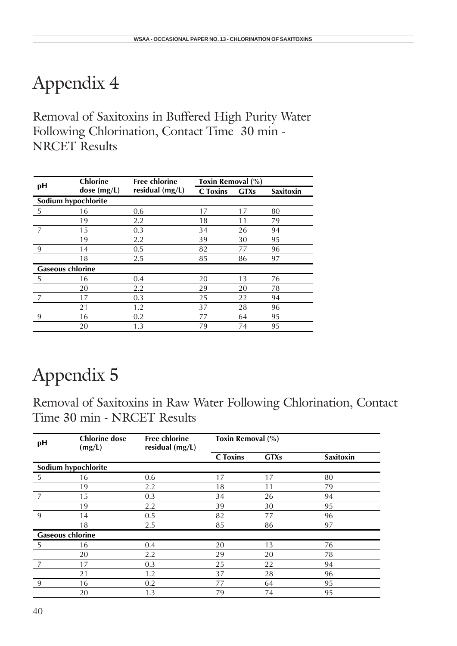Removal of Saxitoxins in Buffered High Purity Water Following Chlorination, Contact Time 30 min - NRCET Results

|                         | <b>Chlorine</b>     | <b>Free chlorine</b> | Toxin Removal (%) |             |                  |
|-------------------------|---------------------|----------------------|-------------------|-------------|------------------|
| pH                      | dose (mg/L)         | residual (mg/L)      | <b>C</b> Toxins   | <b>GTXs</b> | <b>Saxitoxin</b> |
|                         | Sodium hypochlorite |                      |                   |             |                  |
| 5                       | 16                  | 0.6                  | 17                | 17          | 80               |
|                         | 19                  | 2.2                  | 18                | 11          | 79               |
|                         | 15                  | 0.3                  | 34                | 26          | 94               |
|                         | 19                  | 2.2                  | 39                | 30          | 95               |
| 9                       | 14                  | 0.5                  | 82                | 77          | 96               |
|                         | 18                  | 2.5                  | 85                | 86          | 97               |
| <b>Gaseous chlorine</b> |                     |                      |                   |             |                  |
| 5                       | 16                  | 0.4                  | 20                | 13          | 76               |
|                         | 20                  | 2.2                  | 29                | 20          | 78               |
|                         | 17                  | 0.3                  | 25                | 22          | 94               |
|                         | 21                  | 1.2                  | 37                | 28          | 96               |
| 9                       | 16                  | 0.2                  | 77                | 64          | 95               |
|                         | 20                  | 1.3                  | 79                | 74          | 95               |

# Appendix 5

Removal of Saxitoxins in Raw Water Following Chlorination, Contact Time 30 min - NRCET Results

| pH                      | <b>Chlorine</b> dose<br>(mg/L) | <b>Free chlorine</b><br>residual (mg/L) | Toxin Removal (%) |             |                  |
|-------------------------|--------------------------------|-----------------------------------------|-------------------|-------------|------------------|
|                         |                                |                                         | <b>C</b> Toxins   | <b>GTXs</b> | <b>Saxitoxin</b> |
|                         | Sodium hypochlorite            |                                         |                   |             |                  |
| 5                       | 16                             | 0.6                                     | 17                | 17          | 80               |
|                         | 19                             | 2.2                                     | 18                | 11          | 79               |
|                         | 15                             | 0.3                                     | 34                | 26          | 94               |
|                         | 19                             | 2.2                                     | 39                | 30          | 95               |
| 9                       | 14                             | 0.5                                     | 82                | 77          | 96               |
|                         | 18                             | 2.5                                     | 85                | 86          | 97               |
| <b>Gaseous chlorine</b> |                                |                                         |                   |             |                  |
| -5                      | 16                             | 0.4                                     | 20                | 13          | 76               |
|                         | 20                             | 2.2                                     | 29                | 20          | 78               |
|                         | 17                             | 0.3                                     | 25                | 22          | 94               |
|                         | 21                             | 1.2                                     | 37                | 28          | 96               |
| 9                       | 16                             | 0.2                                     | 77                | 64          | 95               |
|                         | 20                             | 1.3                                     | 79                | 74          | 95               |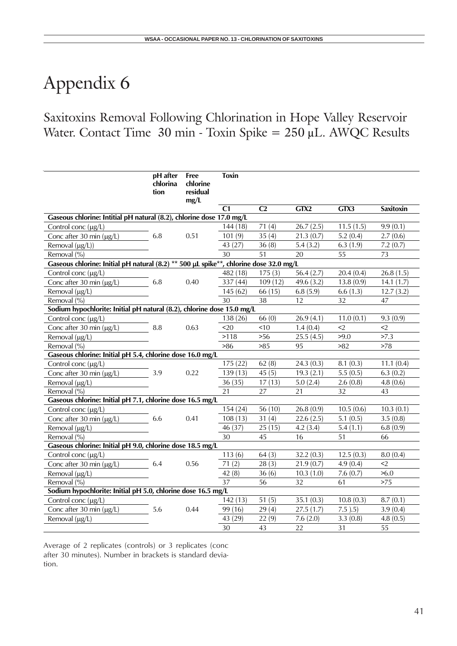## Saxitoxins Removal Following Chlorination in Hope Valley Reservoir Water. Contact Time  $30 \text{ min}$  - Toxin Spike =  $250 \text{ }\mu\text{L}$ . AWQC Results

|                                                                                       | pH after<br>chlorina<br>tion | <b>Free</b><br>chlorine<br>residual<br>mg/L | <b>Toxin</b> |                |              |            |                  |
|---------------------------------------------------------------------------------------|------------------------------|---------------------------------------------|--------------|----------------|--------------|------------|------------------|
|                                                                                       |                              |                                             | C1           | C <sub>2</sub> | GTX2         | GTX3       | <b>Saxitoxin</b> |
| Gaseous chlorine: Intitial pH natural (8.2), chlorine dose 17.0 mg/L                  |                              |                                             |              |                |              |            |                  |
| Control conc $(\mu g/L)$                                                              |                              |                                             | 144 (18)     | 71(4)          | 26.7(2.5)    | 11.5(1.5)  | 9.9(0.1)         |
| Conc after 30 min (µg/L)                                                              | 6.8                          | 0.51                                        | 101(9)       | 35(4)          | 21.3(0.7)    | 5.2(0.4)   | 2.7(0.6)         |
| Removal $(\mu g/L)$ )                                                                 |                              |                                             | 43 (27)      | 36(8)          | 5.4(3.2)     | 6.3(1.9)   | 7.2(0.7)         |
| Removal (%)                                                                           |                              |                                             | 30           | 51             | 20           | 55         | 73               |
| Gaseous chlorine: Initial pH natural (8.2) ** 500 µL spike**, chlorine dose 32.0 mg/L |                              |                                             |              |                |              |            |                  |
| Control conc (µg/L)                                                                   |                              |                                             | 482 (18)     | 175(3)         | 56.4 $(2.7)$ | 20.4(0.4)  | 26.8(1.5)        |
| Conc after 30 min (µg/L)                                                              | 6.8                          | 0.40                                        | 337 (44)     | 109(12)        | 49.6 $(3.2)$ | 13.8(0.9)  | 14.1(1.7)        |
| Removal (µg/L)                                                                        |                              |                                             | 145(62)      | 66 (15)        | 6.8(5.9)     | 6.6(1.3)   | 12.7(3.2)        |
| Removal (%)                                                                           |                              |                                             | 30           | 38             | 12           | 32         | 47               |
| Sodium hypochlorite: Initial pH natural (8.2), chlorine dose 15.0 mg/L                |                              |                                             |              |                |              |            |                  |
| Control conc (µg/L)                                                                   |                              |                                             | 138 (26)     | 66(0)          | 26.9(4.1)    | 11.0(0.1)  | 9.3(0.9)         |
| Conc after 30 min $(\mu g/L)$                                                         | 8.8                          | 0.63                                        | $20$         | 10             | 1.4(0.4)     | $2$        | $2$              |
| Removal (µg/L)                                                                        |                              |                                             | >118         | >56            | 25.5(4.5)    | >9.0       | >7.3             |
| Removal (%)                                                                           |                              |                                             | >86          | >85            | 95           | >82        | $>78$            |
| Gaseous chlorine: Initial pH 5.4, chlorine dose 16.0 mg/L                             |                              |                                             |              |                |              |            |                  |
| Control conc (µg/L)                                                                   |                              |                                             | 175(22)      | 62(8)          | 24.3(0.3)    | 8.1(0.3)   | 11.1(0.4)        |
| Conc after 30 min $(\mu g/L)$                                                         | 3.9                          | 0.22                                        | 139 (13)     | 45(5)          | 19.3(2.1)    | 5.5(0.5)   | 6.3(0.2)         |
| Removal (µg/L)                                                                        |                              |                                             | 36(35)       | 17(13)         | 5.0(2.4)     | 2.6(0.8)   | 4.8(0.6)         |
| Removal (%)                                                                           |                              |                                             | 21           | 27             | 21           | 32         | 43               |
| Gaseous chlorine: Initial pH 7.1, chlorine dose 16.5 mg/L                             |                              |                                             |              |                |              |            |                  |
| Control conc (µg/L)                                                                   |                              |                                             | 154(24)      | 56(10)         | 26.8(0.9)    | 10.5(0.6)  | 10.3(0.1)        |
| Conc after 30 min (µg/L)                                                              | 6.6                          | 0.41                                        | 108(13)      | 31(4)          | 22.6(2.5)    | 5.1(0.5)   | 3.5(0.8)         |
| Removal $(\mu g/L)$                                                                   |                              |                                             | 46 (37)      | 25(15)         | 4.2(3.4)     | 5.4(1.1)   | 6.8(0.9)         |
| Removal (%)                                                                           |                              |                                             | 30           | 45             | 16           | 51         | 66               |
| Gaseous chlorine: Initial pH 9.0, chlorine dose 18.5 mg/L                             |                              |                                             |              |                |              |            |                  |
| Control conc $(\mu g/L)$                                                              |                              |                                             | 113(6)       | 64(3)          | 32.2(0.3)    | 12.5(0.3)  | 8.0(0.4)         |
| Conc after 30 min $(\mu g/L)$                                                         | 6.4                          | 0.56                                        | 71(2)        | 28(3)          | 21.9(0.7)    | 4.9(0.4)   | $\leq$ 2         |
| Removal (µg/L)                                                                        |                              |                                             | 42(8)        | 36(6)          | 10.3(1.0)    | 7.6(0.7)   | >6.0             |
| Removal (%)                                                                           |                              |                                             | 37           | 56             | 32           | 61         | $>75$            |
| Sodium hypochlorite: Initial pH 5.0, chlorine dose 16.5 mg/L                          |                              |                                             |              |                |              |            |                  |
| Control conc (µg/L)                                                                   |                              |                                             | 142(13)      | 51(5)          | 35.1(0.3)    | 10.8(0.3)  | 8.7(0.1)         |
| Conc after 30 min (µg/L)                                                              | 5.6                          | 0.44                                        | 99 (16)      | 29(4)          | 27.5(1.7)    | $7.5$ ).5) | 3.9(0.4)         |
| Removal (µg/L)                                                                        |                              |                                             | 43 (29)      | 22(9)          | 7.6(2.0)     | 3.3(0.8)   | 4.8(0.5)         |
|                                                                                       |                              |                                             | 30           | 43             | 22           | 31         | 55               |

Average of 2 replicates (controls) or 3 replicates (conc after 30 minutes). Number in brackets is standard deviation.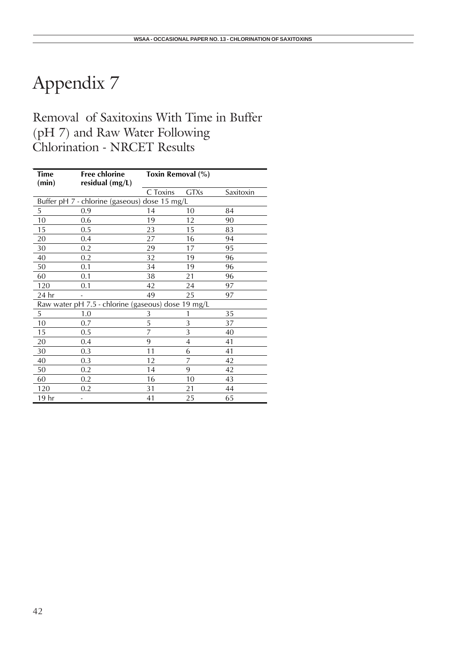## Removal of Saxitoxins With Time in Buffer (pH 7) and Raw Water Following Chlorination - NRCET Results

| <b>Time</b><br>(min) | <b>Free chlorine</b><br>residual $(mg/L)$          | Toxin Removal (%) |             |           |  |  |
|----------------------|----------------------------------------------------|-------------------|-------------|-----------|--|--|
|                      |                                                    | C Toxins          | <b>GTXs</b> | Saxitoxin |  |  |
|                      | Buffer pH 7 - chlorine (gaseous) dose 15 mg/L      |                   |             |           |  |  |
| 5                    | 0.9                                                | 14                | 10          | 84        |  |  |
| 10                   | 0.6                                                | 19                | 12          | 90        |  |  |
| 15                   | 0.5                                                | 23                | 15          | 83        |  |  |
| 20                   | 0.4                                                | 27                | 16          | 94        |  |  |
| 30                   | 0.2                                                | 29                | 17          | 95        |  |  |
| 40                   | 0.2                                                | 32                | 19          | 96        |  |  |
| 50                   | 0.1                                                | 34                | 19          | 96        |  |  |
| 60                   | 0.1                                                | 38                | 21          | 96        |  |  |
| 120                  | 0.1                                                | 42                | 24          | 97        |  |  |
| 24 hr                |                                                    | 49                | 25          | 97        |  |  |
|                      | Raw water pH 7.5 - chlorine (gaseous) dose 19 mg/L |                   |             |           |  |  |
| 5                    | 1.0                                                | 3                 |             | 35        |  |  |
| 10                   | 0.7                                                | 5                 | 3           | 37        |  |  |
| 15                   | 0.5                                                | 7                 | 3           | 40        |  |  |
| 20                   | 0.4                                                | 9                 | 4           | 41        |  |  |
| 30                   | 0.3                                                | 11                | 6           | 41        |  |  |
| 40                   | 0.3                                                | 12                | 7           | 42        |  |  |
| 50                   | 0.2                                                | 14                | 9           | 42        |  |  |
| 60                   | 0.2                                                | 16                | 10          | 43        |  |  |
| 120                  | 0.2                                                | 31                | 21          | 44        |  |  |
| 19 hr                |                                                    | 41                | 25          | 65        |  |  |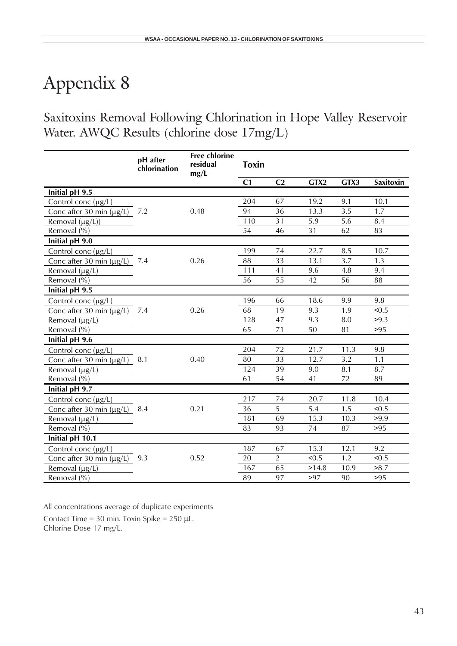Saxitoxins Removal Following Chlorination in Hope Valley Reservoir Water. AWQC Results (chlorine dose 17mg/L)

|                               | pH after<br>chlorination | <b>Free chlorine</b><br>residual<br>mg/L | <b>Toxin</b>   |                |       |      |                  |
|-------------------------------|--------------------------|------------------------------------------|----------------|----------------|-------|------|------------------|
|                               |                          |                                          | C <sub>1</sub> | C <sub>2</sub> | GTX2  | GTX3 | <b>Saxitoxin</b> |
| Initial pH 9.5                |                          |                                          |                |                |       |      |                  |
| Control conc $(\mu g/L)$      |                          |                                          | 204            | 67             | 19.2  | 9.1  | 10.1             |
| Conc after 30 min $(\mu g/L)$ | 7.2                      | 0.48                                     | 94             | 36             | 13.3  | 3.5  | 1.7              |
| Removal $(\mu g/L)$           |                          |                                          | 110            | 31             | 5.9   | 5.6  | 8.4              |
| Removal (%)                   |                          |                                          | 54             | 46             | 31    | 62   | 83               |
| Initial pH 9.0                |                          |                                          |                |                |       |      |                  |
| Control conc $(\mu g/L)$      |                          |                                          | 199            | 74             | 22.7  | 8.5  | 10.7             |
| Conc after 30 min $(\mu g/L)$ | 7.4                      | 0.26                                     | 88             | 33             | 13.1  | 3.7  | 1.3              |
| Removal $(\mu g/L)$           |                          |                                          | 111            | 41             | 9.6   | 4.8  | 9.4              |
| Removal (%)                   |                          |                                          | 56             | 55             | 42    | 56   | 88               |
| Initial pH 9.5                |                          |                                          |                |                |       |      |                  |
| Control conc $(\mu g/L)$      |                          |                                          | 196            | 66             | 18.6  | 9.9  | 9.8              |
| Conc after 30 min $(\mu g/L)$ | 7.4                      | 0.26                                     | 68             | 19             | 9.3   | 1.9  | < 0.5            |
| Removal $(\mu g/L)$           |                          |                                          | 128            | 47             | 9.3   | 8.0  | >9.3             |
| Removal $(\% )$               |                          |                                          | 65             | 71             | 50    | 81   | >95              |
| Initial pH 9.6                |                          |                                          |                |                |       |      |                  |
| Control conc $(\mu g/L)$      |                          |                                          | 204            | 72             | 21.7  | 11.3 | 9.8              |
| Conc after 30 min $(\mu g/L)$ | 8.1                      | 0.40                                     | 80             | 33             | 12.7  | 3.2  | 1.1              |
| Removal $(\mu g/L)$           |                          |                                          | 124            | 39             | 9.0   | 8.1  | 8.7              |
| Removal (%)                   |                          |                                          | 61             | 54             | 41    | 72   | 89               |
| Initial pH 9.7                |                          |                                          |                |                |       |      |                  |
| Control conc $(\mu g/L)$      |                          |                                          | 217            | 74             | 20.7  | 11.8 | 10.4             |
| Conc after 30 min $(\mu g/L)$ | 8.4                      | 0.21                                     | 36             | 5              | 5.4   | 1.5  | < 0.5            |
| Removal $(\mu g/L)$           |                          |                                          | 181            | 69             | 15.3  | 10.3 | >9.9             |
| Removal (%)                   |                          |                                          | 83             | 93             | 74    | 87   | $>95$            |
| Initial pH 10.1               |                          |                                          |                |                |       |      |                  |
| Control conc $(\mu g/L)$      |                          |                                          | 187            | 67             | 15.3  | 12.1 | 9.2              |
| Conc after 30 min $(\mu g/L)$ | 9.3                      | 0.52                                     | 20             | $\overline{2}$ | < 0.5 | 1.2  | < 0.5            |
| Removal $(\mu g/L)$           |                          |                                          | 167            | 65             | >14.8 | 10.9 | >8.7             |
| Removal (%)                   |                          |                                          | 89             | 97             | >97   | 90   | $>95$            |

All concentrations average of duplicate experiments

Contact Time = 30 min. Toxin Spike =  $250 \mu L$ . Chlorine Dose 17 mg/L.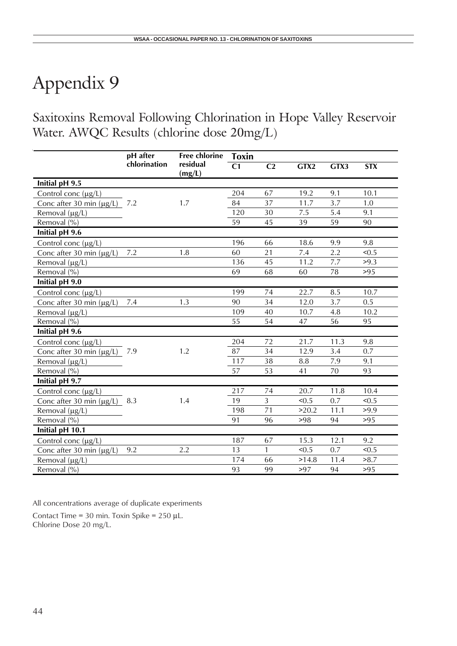Saxitoxins Removal Following Chlorination in Hope Valley Reservoir Water. AWQC Results (chlorine dose 20mg/L)

|                               | pH after     | <b>Free chlorine</b> | <b>Toxin</b>   |                |         |      |            |
|-------------------------------|--------------|----------------------|----------------|----------------|---------|------|------------|
|                               | chlorination | residual<br>(mg/L)   | C <sub>1</sub> | C <sub>2</sub> | GTX2    | GTX3 | <b>STX</b> |
| Initial pH 9.5                |              |                      |                |                |         |      |            |
| Control conc (µg/L)           |              |                      | 204            | 67             | 19.2    | 9.1  | 10.1       |
| Conc after 30 min $(\mu g/L)$ | 7.2          | 1.7                  | 84             | 37             | 11.7    | 3.7  | 1.0        |
| Removal (µg/L)                |              |                      | 120            | 30             | 7.5     | 5.4  | 9.1        |
| Removal (%)                   |              |                      | 59             | 45             | 39      | 59   | 90         |
| Initial pH 9.6                |              |                      |                |                |         |      |            |
| Control conc $(\mu g/L)$      |              |                      | 196            | 66             | 18.6    | 9.9  | 9.8        |
| Conc after 30 min $(\mu g/L)$ | 7.2          | 1.8                  | 60             | 21             | $7.4\,$ | 2.2  | < 0.5      |
| Removal (µg/L)                |              |                      | 136            | 45             | 11.2    | 7.7  | >9.3       |
| Removal (%)                   |              |                      | 69             | 68             | 60      | 78   | >95        |
| Initial pH 9.0                |              |                      |                |                |         |      |            |
| Control conc $(\mu g/L)$      |              |                      | 199            | 74             | 22.7    | 8.5  | 10.7       |
| Conc after 30 min $(\mu g/L)$ | 7.4          | 1.3                  | 90             | 34             | 12.0    | 3.7  | 0.5        |
| Removal $(\mu g/L)$           |              |                      | 109            | 40             | 10.7    | 4.8  | 10.2       |
| Removal (%)                   |              |                      | 55             | 54             | 47      | 56   | 95         |
| Initial pH 9.6                |              |                      |                |                |         |      |            |
| Control conc $(\mu g/L)$      |              |                      | 204            | 72             | 21.7    | 11.3 | 9.8        |
| Conc after 30 min $(\mu g/L)$ | 7.9          | 1.2                  | 87             | 34             | 12.9    | 3.4  | 0.7        |
| Removal (µg/L)                |              |                      | 117            | 38             | 8.8     | 7.9  | 9.1        |
| Removal (%)                   |              |                      | 57             | 53             | 41      | 70   | 93         |
| Initial pH 9.7                |              |                      |                |                |         |      |            |
| Control conc $(\mu g/L)$      |              |                      | 217            | 74             | 20.7    | 11.8 | 10.4       |
| Conc after 30 min $(\mu g/L)$ | 8.3          | 1.4                  | 19             | $\overline{3}$ | < 0.5   | 0.7  | < 0.5      |
| Removal (µg/L)                |              |                      | 198            | 71             | >20.2   | 11.1 | >9.9       |
| Removal (%)                   |              |                      | 91             | 96             | >98     | 94   | >95        |
| Initial pH 10.1               |              |                      |                |                |         |      |            |
| Control conc $(\mu g/L)$      |              |                      | 187            | 67             | 15.3    | 12.1 | 9.2        |
| Conc after 30 min $(\mu g/L)$ | 9.2          | 2.2                  | 13             | 1              | < 0.5   | 0.7  | < 0.5      |
| Removal $(\mu g/L)$           |              |                      | 174            | 66             | >14.8   | 11.4 | >8.7       |
| Removal (%)                   |              |                      | 93             | 99             | >97     | 94   | >95        |

All concentrations average of duplicate experiments

Contact Time = 30 min. Toxin Spike =  $250 \mu L$ . Chlorine Dose 20 mg/L.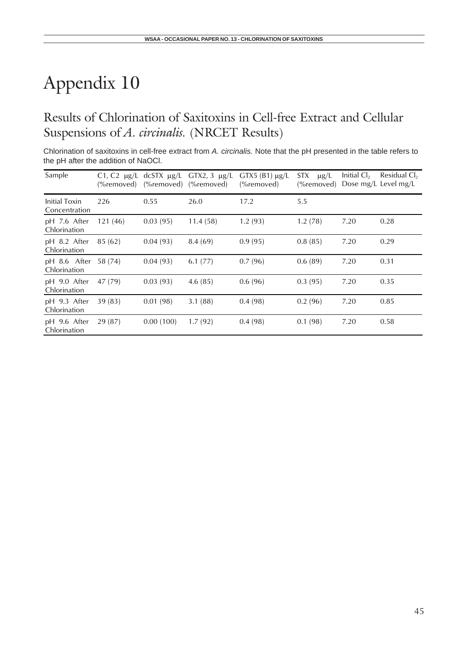## Results of Chlorination of Saxitoxins in Cell-free Extract and Cellular Suspensions of *A. circinalis.* (NRCET Results)

Chlorination of saxitoxins in cell-free extract from *A. circinalis.* Note that the pH presented in the table refers to the pH after the addition of NaOCl.

| Sample                         | (%removed) | C1, C2 $\mu$ g/L dcSTX $\mu$ g/L<br>(%removed) (%removed) | GTX2, $3 \mu g/L$ | GTX5 (B1) $\mu$ g/L<br>(%removed) | STX<br>$\mu$ g/L<br>$(%$ removed) | Initial $Cl2$ | Residual Cl <sub>2</sub><br>Dose mg/L Level mg/L |
|--------------------------------|------------|-----------------------------------------------------------|-------------------|-----------------------------------|-----------------------------------|---------------|--------------------------------------------------|
| Initial Toxin<br>Concentration | 226        | 0.55                                                      | 26.0              | 17.2                              | 5.5                               |               |                                                  |
| pH 7.6 After<br>Chlorination   | 121(46)    | 0.03(95)                                                  | 11.4(58)          | 1.2(93)                           | 1.2(78)                           | 7.20          | 0.28                                             |
| pH 8.2 After<br>Chlorination   | 85(62)     | 0.04(93)                                                  | 8.4(69)           | 0.9(95)                           | 0.8(85)                           | 7.20          | 0.29                                             |
| pH 8.6 After<br>Chlorination   | 58 (74)    | 0.04(93)                                                  | 6.1(77)           | 0.7(96)                           | 0.6(89)                           | 7.20          | 0.31                                             |
| pH 9.0 After<br>Chlorination   | 47 (79)    | 0.03(93)                                                  | 4.6(85)           | 0.6(96)                           | 0.3(95)                           | 7.20          | 0.35                                             |
| pH 9.3 After<br>Chlorination   | 39(83)     | 0.01(98)                                                  | 3.1(88)           | 0.4(98)                           | 0.2(96)                           | 7.20          | 0.85                                             |
| pH 9.6 After<br>Chlorination   | 29(87)     | 0.00(100)                                                 | 1.7(92)           | 0.4(98)                           | 0.1(98)                           | 7.20          | 0.58                                             |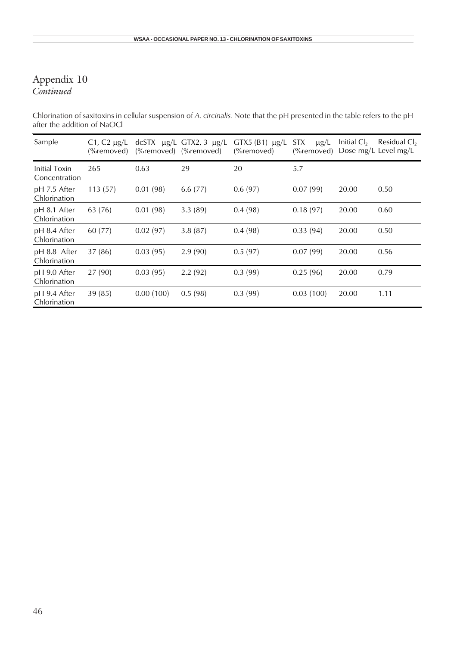### Appendix 10 *Continued*

Chlorination of saxitoxins in cellular suspension of *A. circinalis.* Note that the pH presented in the table refers to the pH after the addition of NaOCl

| Sample                         | C <sub>1</sub> , C <sub>2</sub> $\mu$ g/L<br>(%removed) | $(%$ removed) | dcSTX $\mu$ g/L GTX2, 3 $\mu$ g/L<br>$(%$ removed) | $GTX5(B1) \mu g/L$<br>(%removed) | STX.<br>$\mu$ g/L<br>$(%$ removed) | Initial $Cl2$ | Residual $Cl2$<br>Dose mg/L Level mg/L |
|--------------------------------|---------------------------------------------------------|---------------|----------------------------------------------------|----------------------------------|------------------------------------|---------------|----------------------------------------|
| Initial Toxin<br>Concentration | 265                                                     | 0.63          | 29                                                 | 20                               | 5.7                                |               |                                        |
| pH 7.5 After<br>Chlorination   | 113(57)                                                 | 0.01(98)      | 6.6(77)                                            | 0.6(97)                          | 0.07(99)                           | 20.00         | 0.50                                   |
| pH 8.1 After<br>Chlorination   | 63 (76)                                                 | 0.01(98)      | 3.3(89)                                            | 0.4(98)                          | 0.18(97)                           | 20.00         | 0.60                                   |
| pH 8.4 After<br>Chlorination   | 60 (77)                                                 | 0.02(97)      | 3.8(87)                                            | 0.4(98)                          | 0.33(94)                           | 20.00         | 0.50                                   |
| pH 8.8 After<br>Chlorination   | 37(86)                                                  | 0.03(95)      | 2.9(90)                                            | 0.5(97)                          | 0.07(99)                           | 20.00         | 0.56                                   |
| pH 9.0 After<br>Chlorination   | 27(90)                                                  | 0.03(95)      | 2.2(92)                                            | 0.3(99)                          | 0.25(96)                           | 20.00         | 0.79                                   |
| pH 9.4 After<br>Chlorination   | 39(85)                                                  | 0.00(100)     | 0.5(98)                                            | 0.3(99)                          | 0.03(100)                          | 20.00         | 1.11                                   |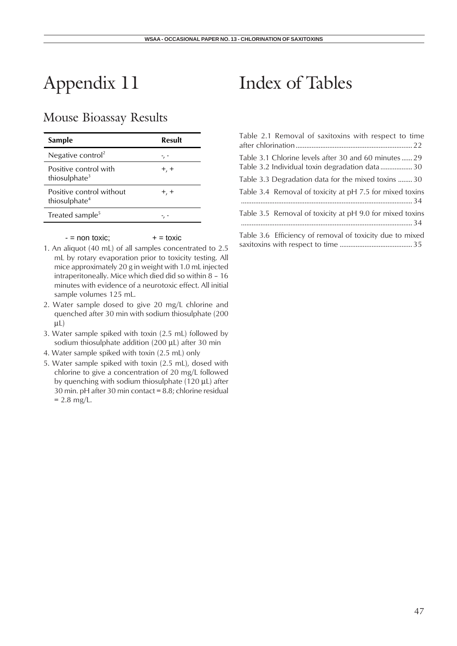## Mouse Bioassay Results

| Sample                                                | Result    |
|-------------------------------------------------------|-----------|
| Negative control <sup>2</sup>                         |           |
| Positive control with<br>thiosulphate <sup>3</sup>    | $+$ , $+$ |
| Positive control without<br>thiosulphate <sup>4</sup> | $+$ , $+$ |
| Treated sample <sup>5</sup>                           |           |

#### $-$  = non toxic;  $+$  = toxic

- 1. An aliquot (40 mL) of all samples concentrated to 2.5 mL by rotary evaporation prior to toxicity testing. All mice approximately 20 g in weight with 1.0 mL injected intraperitoneally. Mice which died did so within 8 – 16 minutes with evidence of a neurotoxic effect. All initial sample volumes 125 mL.
- 2. Water sample dosed to give 20 mg/L chlorine and quenched after 30 min with sodium thiosulphate (200  $\mu$ L)
- 3. Water sample spiked with toxin (2.5 mL) followed by sodium thiosulphate addition (200 µL) after 30 min
- 4. Water sample spiked with toxin (2.5 mL) only
- 5. Water sample spiked with toxin (2.5 mL), dosed with chlorine to give a concentration of 20 mg/L followed by quenching with sodium thiosulphate (120 µL) after 30 min. pH after 30 min contact = 8.8; chlorine residual  $= 2.8$  mg/L.

## Index of Tables

| Table 2.1 Removal of saxitoxins with respect to time                                                   |
|--------------------------------------------------------------------------------------------------------|
| Table 3.1 Chlorine levels after 30 and 60 minutes 29<br>Table 3.2 Individual toxin degradation data 30 |
| Table 3.3 Degradation data for the mixed toxins 30                                                     |
| Table 3.4 Removal of toxicity at pH 7.5 for mixed toxins                                               |
| Table 3.5 Removal of toxicity at pH 9.0 for mixed toxins                                               |
| Table 3.6 Efficiency of removal of toxicity due to mixed                                               |

saxitoxins with respect to time ......................................... 35